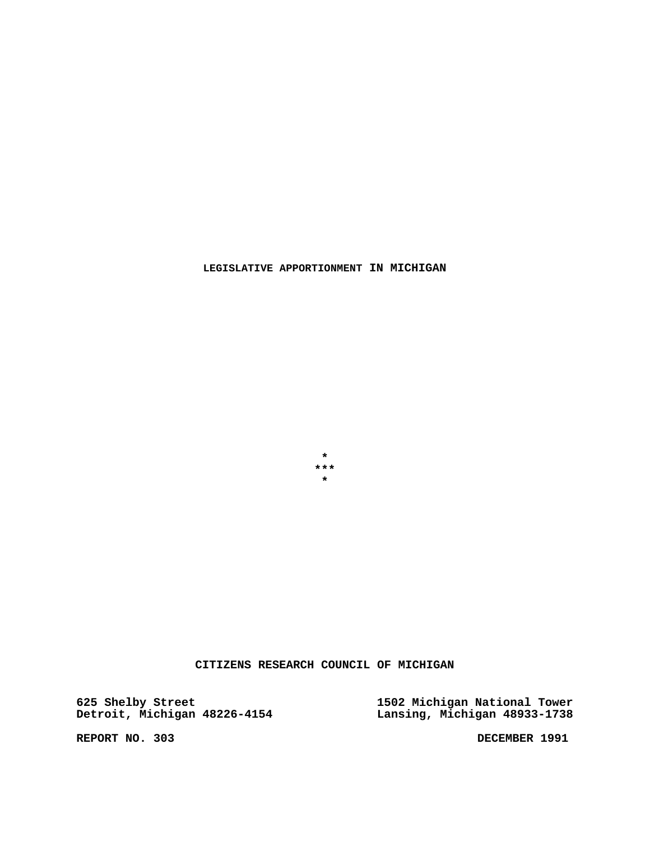**CITIZENS RESEARCH COUNCIL OF MICHIGAN**

**625 Shelby Street 1502 Michigan National Tower Detroit, Michigan 48226-4154 Lansing, Michigan 48933-1738**

REPORT NO. 303 DECEMBER 1991

**\* \*\*\* \***

**LEGISLATIVE APPORTIONMENT IN MICHIGAN**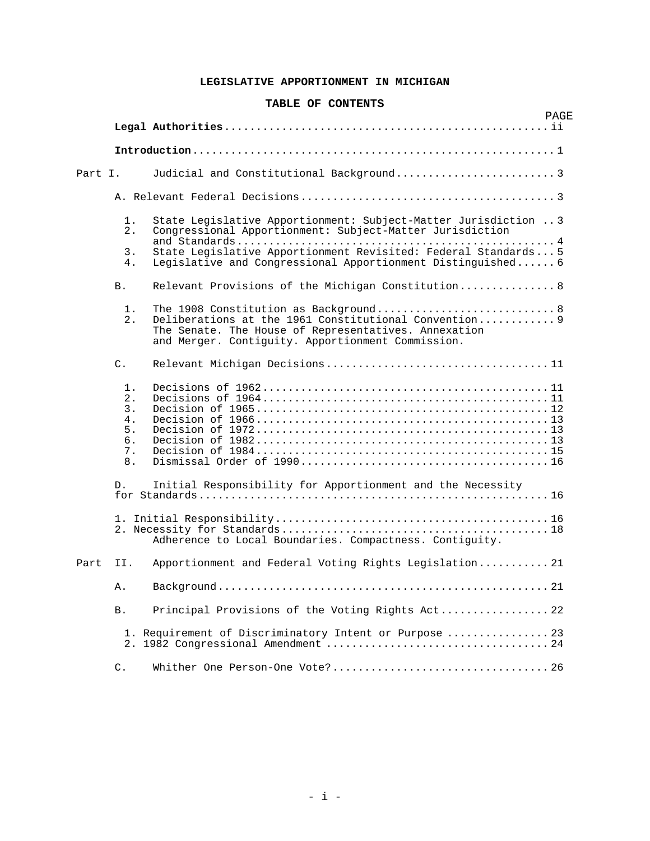# **LEGISLATIVE APPORTIONMENT IN MICHIGAN**

### **TABLE OF CONTENTS**

|         |                                                 |                                                                                                                                                                                                             | PAGE |
|---------|-------------------------------------------------|-------------------------------------------------------------------------------------------------------------------------------------------------------------------------------------------------------------|------|
|         |                                                 |                                                                                                                                                                                                             |      |
|         |                                                 |                                                                                                                                                                                                             |      |
| Part I. |                                                 |                                                                                                                                                                                                             |      |
|         |                                                 |                                                                                                                                                                                                             |      |
|         | 1.<br>2.                                        | State Legislative Apportionment: Subject-Matter Jurisdiction  3<br>Congressional Apportionment: Subject-Matter Jurisdiction                                                                                 |      |
|         | 3.<br>4.                                        | State Legislative Apportionment Revisited: Federal Standards 5<br>Legislative and Congressional Apportionment Distinguished 6                                                                               |      |
|         | B.                                              | Relevant Provisions of the Michigan Constitution 8                                                                                                                                                          |      |
|         | 1.<br>2.                                        | The 1908 Constitution as Background 8<br>Deliberations at the 1961 Constitutional Convention 9<br>The Senate. The House of Representatives. Annexation<br>and Merger. Contiguity. Apportionment Commission. |      |
|         | $\mathsf{C}$ .                                  |                                                                                                                                                                                                             |      |
|         | 1.<br>2.<br>3.<br>4.<br>5.<br>б.<br>7.<br>$8$ . |                                                                                                                                                                                                             |      |
|         | D.                                              | Initial Responsibility for Apportionment and the Necessity                                                                                                                                                  |      |
|         |                                                 | Adherence to Local Boundaries. Compactness. Contiquity.                                                                                                                                                     |      |
| Part    | II.                                             | Apportionment and Federal Voting Rights Legislation 21                                                                                                                                                      |      |
|         | Α.                                              |                                                                                                                                                                                                             |      |
|         | <b>B</b> .                                      | Principal Provisions of the Voting Rights Act 22                                                                                                                                                            |      |
|         |                                                 | 1. Requirement of Discriminatory Intent or Purpose  23                                                                                                                                                      |      |
|         | $\mathsf{C}$ .                                  |                                                                                                                                                                                                             |      |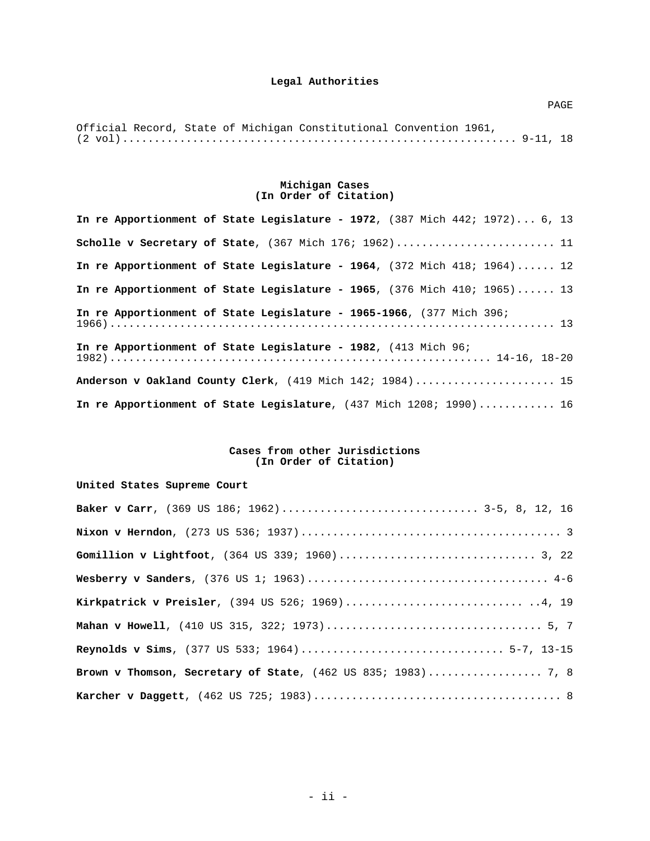|  |  | Official Record, State of Michigan Constitutional Convention 1961, |  |  |
|--|--|--------------------------------------------------------------------|--|--|
|  |  |                                                                    |  |  |

#### **Michigan Cases (In Order of Citation)**

| In re Apportionment of State Legislature - 1972, $(387 \text{ Mich } 442; 1972) \ldots 6, 13$            |  |  |  |  |  |  |
|----------------------------------------------------------------------------------------------------------|--|--|--|--|--|--|
| Scholle v Secretary of State, (367 Mich 176; 1962) 11                                                    |  |  |  |  |  |  |
| In re Apportionment of State Legislature - 1964, (372 Mich 418; 1964) 12                                 |  |  |  |  |  |  |
| In re Apportionment of State Legislature - 1965, $(376 \text{ Mich } 410; 1965) \ldots \ldots \ldots 13$ |  |  |  |  |  |  |
| In re Apportionment of State Legislature - 1965-1966, (377 Mich 396;                                     |  |  |  |  |  |  |
| In re Apportionment of State Legislature - 1982, (413 Mich 96;                                           |  |  |  |  |  |  |
| Anderson v Oakland County Clerk, (419 Mich 142; 1984) 15                                                 |  |  |  |  |  |  |
| In re Apportionment of State Legislature, (437 Mich 1208; 1990) 16                                       |  |  |  |  |  |  |

#### **Cases from other Jurisdictions (In Order of Citation)**

# **United States Supreme Court**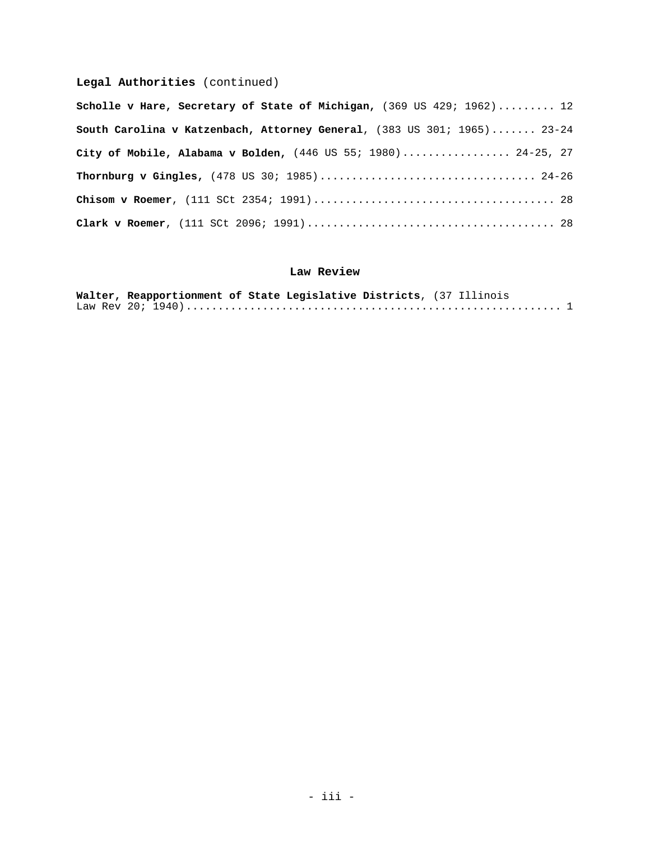# **Legal Authorities** (continued)

| Scholle v Hare, Secretary of State of Michigan, (369 US 429; 1962) 12   |
|-------------------------------------------------------------------------|
| South Carolina v Katzenbach, Attorney General, (383 US 301; 1965) 23-24 |
| City of Mobile, Alabama v Bolden, (446 US 55; 1980) 24-25, 27           |
|                                                                         |
|                                                                         |
|                                                                         |

# **Law Review**

| Walter, Reapportionment of State Legislative Districts, (37 Illinois |  |
|----------------------------------------------------------------------|--|
|                                                                      |  |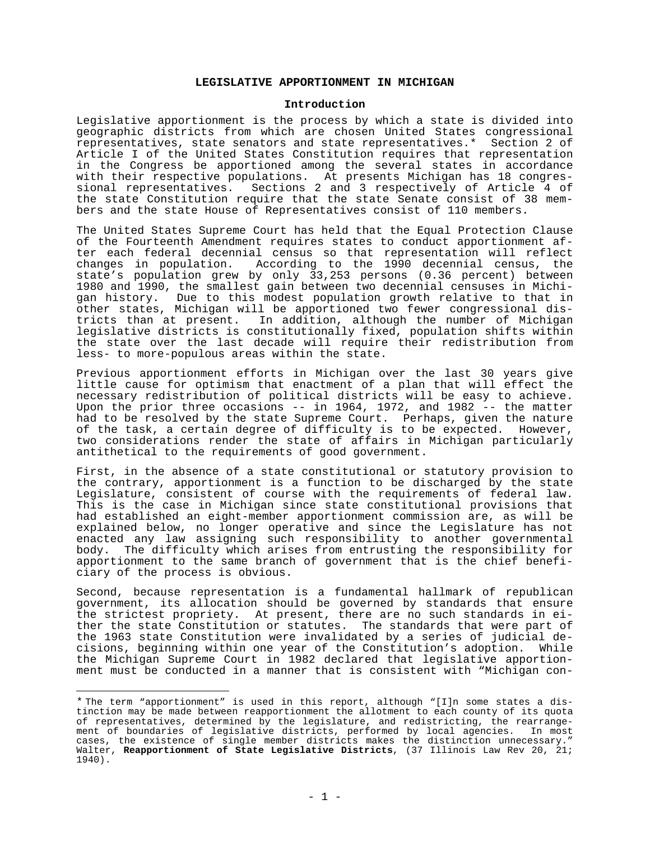# **LEGISLATIVE APPORTIONMENT IN MICHIGAN**

#### **Introduction**

Legislative apportionment is the process by which a state is divided into geographic districts from which are chosen United States congressional representatives, state senators and state representatives.\* Section 2 of Article I of the United States Constitution requires that representation in the Congress be apportioned among the several states in accordance with their respective populations. At presents Michigan has 18 congressional representatives. Sections 2 and 3 respectively of Article 4 of the state Constitution require that the state Senate consist of 38 members and the state House of Representatives consist of 110 members.

The United States Supreme Court has held that the Equal Protection Clause of the Fourteenth Amendment requires states to conduct apportionment after each federal decennial census so that representation will reflect<br>changes in population. According to the 1990 decennial census, the According to the 1990 decennial census, the state's population grew by only 33,253 persons (0.36 percent) between 1980 and 1990, the smallest gain between two decennial censuses in Michigan history. Due to this modest population growth relative to that in other states, Michigan will be apportioned two fewer congressional districts than at present. In addition, although the number of Michigan legislative districts is constitutionally fixed, population shifts within the state over the last decade will require their redistribution from less- to more-populous areas within the state.

Previous apportionment efforts in Michigan over the last 30 years give little cause for optimism that enactment of a plan that will effect the necessary redistribution of political districts will be easy to achieve. Upon the prior three occasions -- in 1964, 1972, and 1982 -- the matter had to be resolved by the state Supreme Court. Perhaps, given the nature of the task, a certain degree of difficulty is to be expected. However, two considerations render the state of affairs in Michigan particularly antithetical to the requirements of good government.

First, in the absence of a state constitutional or statutory provision to the contrary, apportionment is a function to be discharged by the state Legislature, consistent of course with the requirements of federal law. This is the case in Michigan since state constitutional provisions that had established an eight-member apportionment commission are, as will be explained below, no longer operative and since the Legislature has not enacted any law assigning such responsibility to another governmental<br>body. The difficulty which arises from entrusting the responsibility for The difficulty which arises from entrusting the responsibility for apportionment to the same branch of government that is the chief beneficiary of the process is obvious.

Second, because representation is a fundamental hallmark of republican government, its allocation should be governed by standards that ensure the strictest propriety. At present, there are no such standards in either the state Constitution or statutes. The standards that were part of the 1963 state Constitution were invalidated by a series of judicial decisions, beginning within one year of the Constitution's adoption. While the Michigan Supreme Court in 1982 declared that legislative apportionment must be conducted in a manner that is consistent with "Michigan con-

<sup>\*</sup> The term "apportionment" is used in this report, although "[I]n some states a distinction may be made between reapportionment the allotment to each county of its quota of representatives, determined by the legislature, and redistricting, the rearrangement of boundaries of legislative districts, performed by local agencies. In most cases, the existence of single member districts makes the distinction unnecessary." Walter, **Reapportionment of State Legislative Districts**, (37 Illinois Law Rev 20, 21; 1940).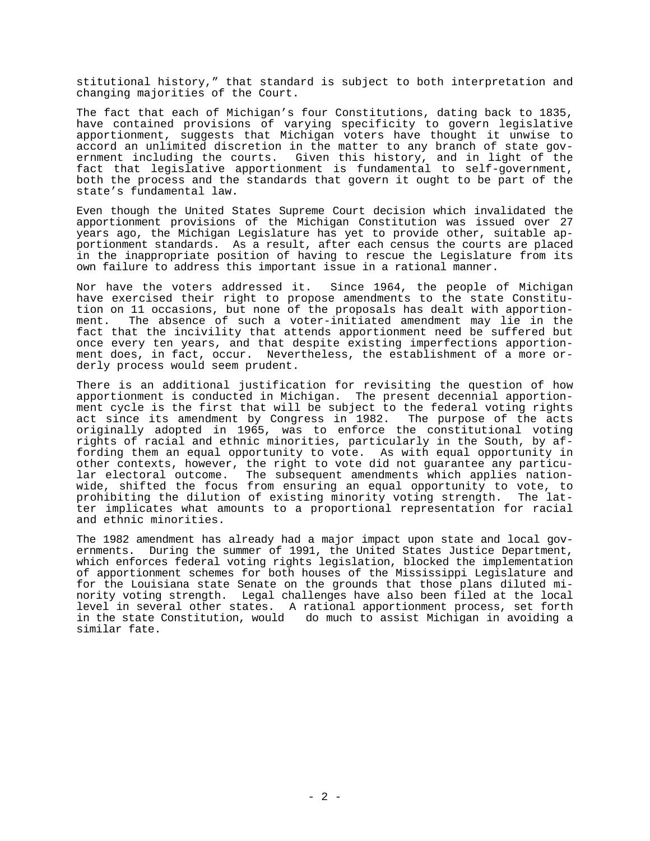stitutional history," that standard is subject to both interpretation and changing majorities of the Court.

The fact that each of Michigan's four Constitutions, dating back to 1835, have contained provisions of varying specificity to govern legislative apportionment, suggests that Michigan voters have thought it unwise to accord an unlimited discretion in the matter to any branch of state government including the courts. Given this history, and in light of the fact that legislative apportionment is fundamental to self-government, both the process and the standards that govern it ought to be part of the state's fundamental law.

Even though the United States Supreme Court decision which invalidated the apportionment provisions of the Michigan Constitution was issued over 27 years ago, the Michigan Legislature has yet to provide other, suitable apportionment standards. As a result, after each census the courts are placed in the inappropriate position of having to rescue the Legislature from its own failure to address this important issue in a rational manner.

Nor have the voters addressed it. Since 1964, the people of Michigan have exercised their right to propose amendments to the state Constitution on 11 occasions, but none of the proposals has dealt with apportion-<br>ment. The absence of such a voter-initiated amendment may lie in the The absence of such a voter-initiated amendment may lie in the fact that the incivility that attends apportionment need be suffered but once every ten years, and that despite existing imperfections apportionment does, in fact, occur. Nevertheless, the establishment of a more orderly process would seem prudent.

There is an additional justification for revisiting the question of how apportionment is conducted in Michigan. The present decennial apportionment cycle is the first that will be subject to the federal voting rights act since its amendment by Congress in 1982. The purpose of the acts originally adopted in 1965, was to enforce the constitutional voting rights of racial and ethnic minorities, particularly in the South, by affording them an equal opportunity to vote. As with equal opportunity in other contexts, however, the right to vote did not guarantee any particular electoral outcome. The subsequent amendments which applies nationwide, shifted the focus from ensuring an equal opportunity to vote, to prohibiting the dilution of existing minority voting strength. The latter implicates what amounts to a proportional representation for racial and ethnic minorities.

The 1982 amendment has already had a major impact upon state and local governments. During the summer of 1991, the United States Justice Department, which enforces federal voting rights legislation, blocked the implementation of apportionment schemes for both houses of the Mississippi Legislature and for the Louisiana state Senate on the grounds that those plans diluted minority voting strength. Legal challenges have also been filed at the local level in several other states. A rational apportionment process, set forth in the state Constitution, would do much to assist Michigan in avoiding a similar fate.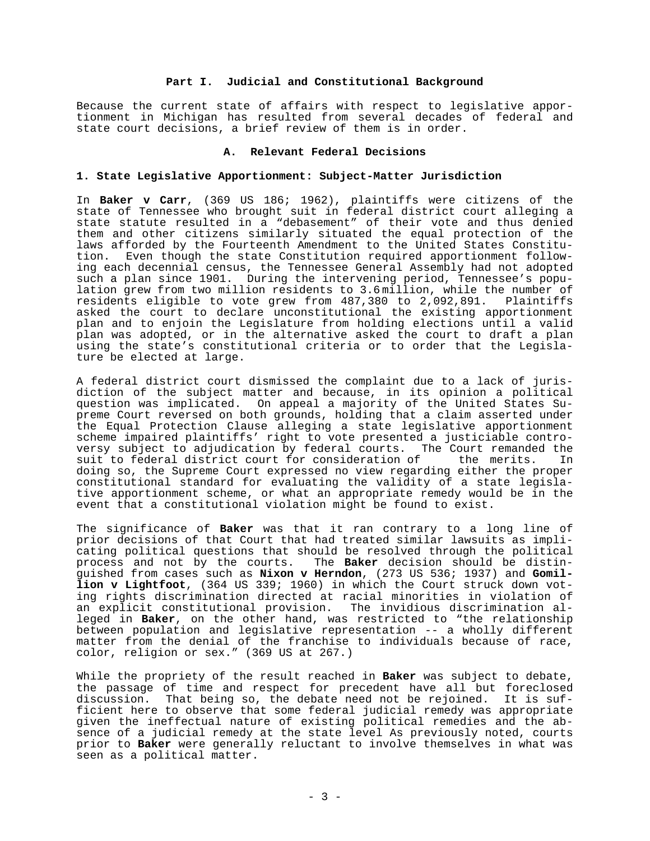## **Part I. Judicial and Constitutional Background**

Because the current state of affairs with respect to legislative apportionment in Michigan has resulted from several decades of federal and state court decisions, a brief review of them is in order.

#### **A. Relevant Federal Decisions**

#### **1. State Legislative Apportionment: Subject-Matter Jurisdiction**

In **Baker v Carr**, (369 US 186; 1962), plaintiffs were citizens of the state of Tennessee who brought suit in federal district court alleging a state statute resulted in a "debasement" of their vote and thus denied them and other citizens similarly situated the equal protection of the laws afforded by the Fourteenth Amendment to the United States Constitution. Even though the state Constitution required apportionment following each decennial census, the Tennessee General Assembly had not adopted such a plan since 1901. During the intervening period, Tennessee's population grew from two million residents to 3.6 million, while the number of residents eligible to vote grew from 487,380 to 2,092,891. Plaintiffs asked the court to declare unconstitutional the existing apportionment plan and to enjoin the Legislature from holding elections until a valid plan was adopted, or in the alternative asked the court to draft a plan using the state's constitutional criteria or to order that the Legislature be elected at large.

A federal district court dismissed the complaint due to a lack of jurisdiction of the subject matter and because, in its opinion a political question was implicated. On appeal a majority of the United States Supreme Court reversed on both grounds, holding that a claim asserted under the Equal Protection Clause alleging a state legislative apportionment scheme impaired plaintiffs' right to vote presented a justiciable controversy subject to adjudication by federal courts. The Court remanded the<br>suit to federal district court for consideration of the merits. In suit to federal district court for consideration of the merits. In doing so, the Supreme Court expressed no view regarding either the proper constitutional standard for evaluating the validity of a state legislative apportionment scheme, or what an appropriate remedy would be in the event that a constitutional violation might be found to exist.

The significance of **Baker** was that it ran contrary to a long line of prior decisions of that Court that had treated similar lawsuits as implicating political questions that should be resolved through the political process and not by the courts. The **Baker** decision should be distinguished from cases such as **Nixon v Herndon**, (273 US 536; 1937) and **Gomillion v Lightfoot**, (364 US 339; 1960) in which the Court struck down voting rights discrimination directed at racial minorities in violation of an explicit constitutional provision. The invidious discrimination alleged in **Baker**, on the other hand, was restricted to "the relationship between population and legislative representation -- a wholly different matter from the denial of the franchise to individuals because of race, color, religion or sex." (369 US at 267.)

While the propriety of the result reached in **Baker** was subject to debate, the passage of time and respect for precedent have all but foreclosed discussion. That being so, the debate need not be rejoined. It is sufficient here to observe that some federal judicial remedy was appropriate given the ineffectual nature of existing political remedies and the absence of a judicial remedy at the state level As previously noted, courts prior to **Baker** were generally reluctant to involve themselves in what was seen as a political matter.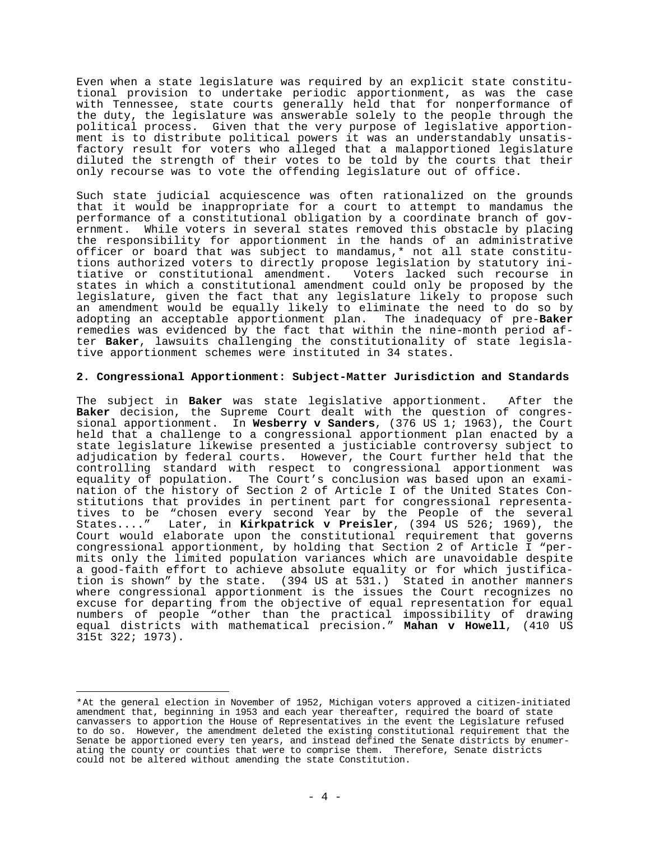Even when a state legislature was required by an explicit state constitutional provision to undertake periodic apportionment, as was the case with Tennessee, state courts generally held that for nonperformance of the duty, the legislature was answerable solely to the people through the political process. Given that the very purpose of legislative apportionment is to distribute political powers it was an understandably unsatisfactory result for voters who alleged that a malapportioned legislature diluted the strength of their votes to be told by the courts that their only recourse was to vote the offending legislature out of office.

Such state judicial acquiescence was often rationalized on the grounds that it would be inappropriate for a court to attempt to mandamus the performance of a constitutional obligation by a coordinate branch of government. While voters in several states removed this obstacle by placing the responsibility for apportionment in the hands of an administrative officer or board that was subject to mandamus,\* not all state constitutions authorized voters to directly propose legislation by statutory initiative or constitutional amendment. Voters lacked such recourse in states in which a constitutional amendment could only be proposed by the legislature, given the fact that any legislature likely to propose such an amendment would be equally likely to eliminate the need to do so by adopting an acceptable apportionment plan. The inadequacy of pre-**Baker** remedies was evidenced by the fact that within the nine-month period after **Baker**, lawsuits challenging the constitutionality of state legislative apportionment schemes were instituted in 34 states.

#### **2. Congressional Apportionment: Subject-Matter Jurisdiction and Standards**

The subject in **Baker** was state legislative apportionment. After the **Baker** decision, the Supreme Court dealt with the question of congressional apportionment. In **Wesberry v Sanders**, (376 US 1; 1963), the Court held that a challenge to a congressional apportionment plan enacted by a state legislature likewise presented a justiciable controversy subject to adjudication by federal courts. However, the Court further held that the controlling standard with respect to congressional apportionment was equality of population. The Court's conclusion was based upon an examination of the history of Section 2 of Article I of the United States Constitutions that provides in pertinent part for congressional representatives to be "chosen every second Year by the People of the several States...." Later, in **Kirkpatrick v Preisler**, (394 US 526; 1969), the Court would elaborate upon the constitutional requirement that governs congressional apportionment, by holding that Section 2 of Article I "permits only the limited population variances which are unavoidable despite a good-faith effort to achieve absolute equality or for which justification is shown" by the state. (394 US at 531.) Stated in another manners where congressional apportionment is the issues the Court recognizes no excuse for departing from the objective of equal representation for equal numbers of people "other than the practical impossibility of drawing equal districts with mathematical precision." **Mahan v Howell**, (410 US 315t 322; 1973).

<sup>\*</sup>At the general election in November of 1952, Michigan voters approved a citizen-initiated amendment that, beginning in 1953 and each year thereafter, required the board of state canvassers to apportion the House of Representatives in the event the Legislature refused to do so. However, the amendment deleted the existing constitutional requirement that the Senate be apportioned every ten years, and instead defined the Senate districts by enumerating the county or counties that were to comprise them. Therefore, Senate districts could not be altered without amending the state Constitution.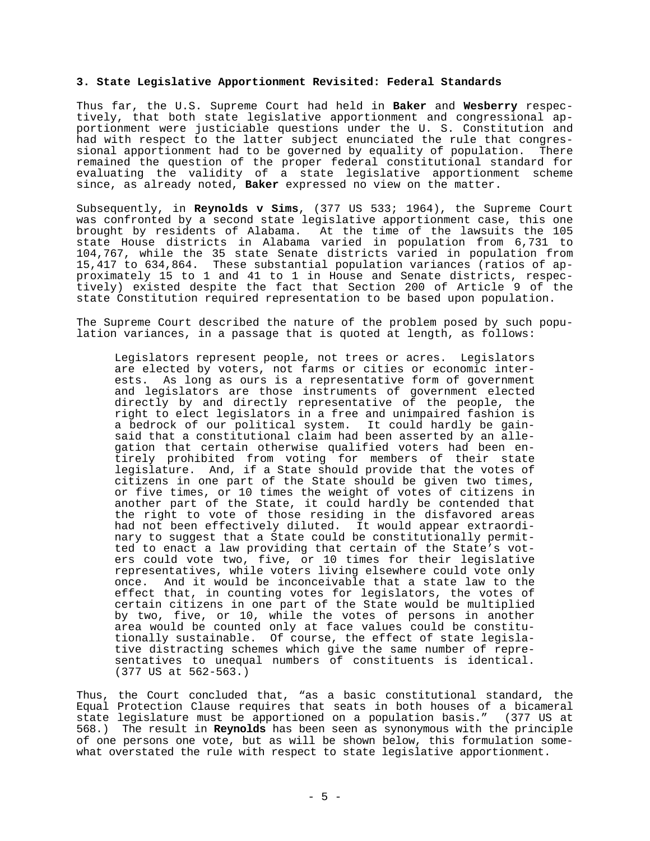#### **3. State Legislative Apportionment Revisited: Federal Standards**

Thus far, the U.S. Supreme Court had held in **Baker** and **Wesberry** respectively, that both state legislative apportionment and congressional apportionment were justiciable questions under the U. S. Constitution and had with respect to the latter subject enunciated the rule that congressional apportionment had to be governed by equality of population. There remained the question of the proper federal constitutional standard for evaluating the validity of a state legislative apportionment scheme since, as already noted, **Baker** expressed no view on the matter.

Subsequently, in **Reynolds v Sims**, (377 US 533; 1964), the Supreme Court was confronted by a second state legislative apportionment case, this one brought by residents of Alabama. At the time of the lawsuits the 105 state House districts in Alabama varied in population from 6,731 to 104,767, while the 35 state Senate districts varied in population from 15,417 to 634,864. These substantial population variances (ratios of approximately 15 to 1 and 41 to 1 in House and Senate districts, respectively) existed despite the fact that Section 200 of Article 9 of the state Constitution required representation to be based upon population.

The Supreme Court described the nature of the problem posed by such population variances, in a passage that is quoted at length, as follows:

Legislators represent people, not trees or acres. Legislators are elected by voters, not farms or cities or economic interests. As long as ours is a representative form of government and legislators are those instruments of government elected directly by and directly representative of the people, the right to elect legislators in a free and unimpaired fashion is a bedrock of our political system. It could hardly be gainsaid that a constitutional claim had been asserted by an allegation that certain otherwise qualified voters had been entirely prohibited from voting for members of their state legislature. And, if a State should provide that the votes of citizens in one part of the State should be given two times, or five times, or 10 times the weight of votes of citizens in another part of the State, it could hardly be contended that the right to vote of those residing in the disfavored areas had not been effectively diluted. It would appear extraordinary to suggest that a State could be constitutionally permitted to enact a law providing that certain of the State's voters could vote two, five, or 10 times for their legislative representatives, while voters living elsewhere could vote only once. And it would be inconceivable that a state law to the effect that, in counting votes for legislators, the votes of certain citizens in one part of the State would be multiplied by two, five, or 10, while the votes of persons in another area would be counted only at face values could be constitutionally sustainable. Of course, the effect of state legislative distracting schemes which give the same number of representatives to unequal numbers of constituents is identical. (377 US at 562-563.)

Thus, the Court concluded that, "as a basic constitutional standard, the Equal Protection Clause requires that seats in both houses of a bicameral state legislature must be apportioned on a population basis." (377 US at 568.) The result in **Reynolds** has been seen as synonymous with the principle of one persons one vote, but as will be shown below, this formulation somewhat overstated the rule with respect to state legislative apportionment.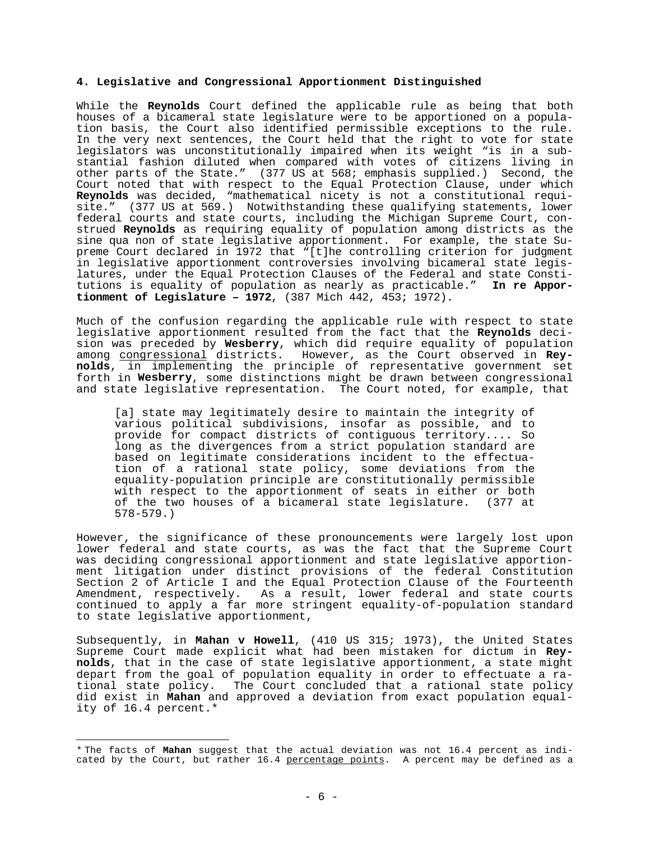#### **4. Legislative and Congressional Apportionment Distinguished**

While the **Reynolds** Court defined the applicable rule as being that both houses of a bicameral state legislature were to be apportioned on a population basis, the Court also identified permissible exceptions to the rule. In the very next sentences, the Court held that the right to vote for state legislators was unconstitutionally impaired when its weight "is in a substantial fashion diluted when compared with votes of citizens living in other parts of the State." (377 US at 568; emphasis supplied.) Second, the Court noted that with respect to the Equal Protection Clause, under which **Reynolds** was decided, "mathematical nicety is not a constitutional requisite." (377 US at 569.) Notwithstanding these qualifying statements, lower federal courts and state courts, including the Michigan Supreme Court, construed **Reynolds** as requiring equality of population among districts as the sine qua non of state legislative apportionment. For example, the state Supreme Court declared in 1972 that "[t]he controlling criterion for judgment in legislative apportionment controversies involving bicameral state legislatures, under the Equal Protection Clauses of the Federal and state Constitutions is equality of population as nearly as practicable." **In re Apportionment of Legislature – 1972**, (387 Mich 442, 453; 1972).

Much of the confusion regarding the applicable rule with respect to state legislative apportionment resulted from the fact that the **Reynolds** decision was preceded by **Wesberry**, which did require equality of population among congressional districts. However, as the Court observed in **Reynolds**, in implementing the principle of representative government set forth in **Wesberry**, some distinctions might be drawn between congressional and state legislative representation. The Court noted, for example, that

[a] state may legitimately desire to maintain the integrity of various political subdivisions, insofar as possible, and to provide for compact districts of contiguous territory.... So long as the divergences from a strict population standard are based on legitimate considerations incident to the effectuation of a rational state policy, some deviations from the equality-population principle are constitutionally permissible with respect to the apportionment of seats in either or both of the two houses of a bicameral state legislature. (377 at 578-579.)

However, the significance of these pronouncements were largely lost upon lower federal and state courts, as was the fact that the Supreme Court was deciding congressional apportionment and state legislative apportionment litigation under distinct provisions of the federal Constitution Section 2 of Article I and the Equal Protection Clause of the Fourteenth Amendment, respectively. As a result, lower federal and state courts continued to apply a far more stringent equality-of-population standard to state legislative apportionment,

Subsequently, in **Mahan v Howell**, (410 US 315; 1973), the United States Supreme Court made explicit what had been mistaken for dictum in **Reynolds**, that in the case of state legislative apportionment, a state might depart from the goal of population equality in order to effectuate a rational state policy. The Court concluded that a rational state policy did exist in **Mahan** and approved a deviation from exact population equality of 16.4 percent.\*

<sup>\*</sup> The facts of **Mahan** suggest that the actual deviation was not 16.4 percent as indicated by the Court, but rather 16.4 percentage points. A percent may be defined as a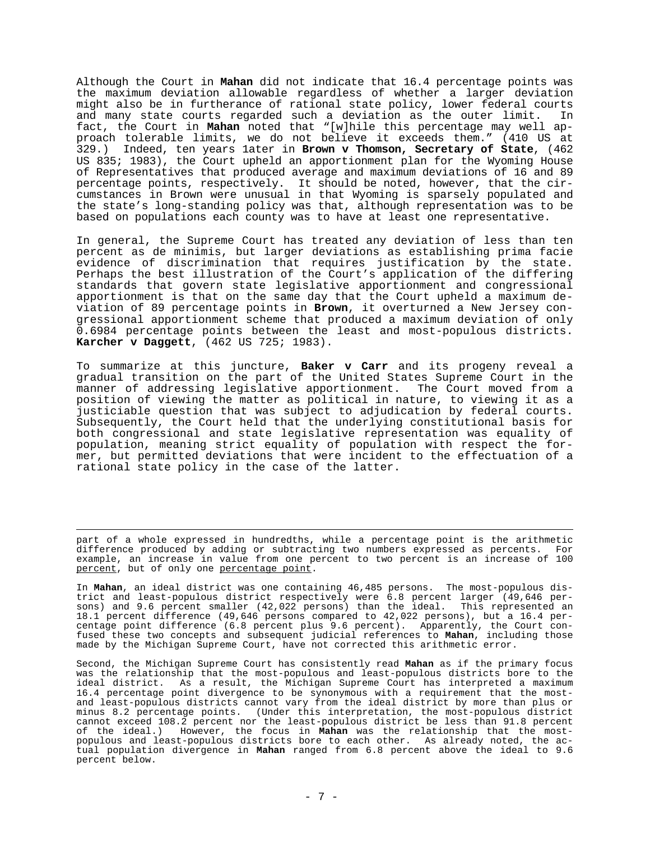Although the Court in **Mahan** did not indicate that 16.4 percentage points was the maximum deviation allowable regardless of whether a larger deviation might also be in furtherance of rational state policy, lower federal courts and many state courts regarded such a deviation as the outer limit. In fact, the Court in **Mahan** noted that "[w]hile this percentage may well approach tolerable limits, we do not believe it exceeds them." (410 US at 329.) Indeed, ten years 1ater in **Brown v Thomson, Secretary of State**, (462 US 835; 1983), the Court upheld an apportionment plan for the Wyoming House of Representatives that produced average and maximum deviations of 16 and 89 percentage points, respectively. It should be noted, however, that the circumstances in Brown were unusual in that Wyoming is sparsely populated and the state's long-standing policy was that, although representation was to be based on populations each county was to have at least one representative.

In general, the Supreme Court has treated any deviation of less than ten percent as de minimis, but larger deviations as establishing prima facie evidence of discrimination that requires justification by the state. Perhaps the best illustration of the Court's application of the differing standards that govern state legislative apportionment and congressional apportionment is that on the same day that the Court upheld a maximum deviation of 89 percentage points in **Brown**, it overturned a New Jersey congressional apportionment scheme that produced a maximum deviation of only 0.6984 percentage points between the least and most-populous districts. **Karcher v Daggett**, (462 US 725; 1983).

To summarize at this juncture, **Baker v Carr** and its progeny reveal a gradual transition on the part of the United States Supreme Court in the manner of addressing legislative apportionment. The Court moved from a position of viewing the matter as political in nature, to viewing it as a justiciable question that was subject to adjudication by federal courts. Subsequently, the Court held that the underlying constitutional basis for both congressional and state legislative representation was equality of population, meaning strict equality of population with respect the former, but permitted deviations that were incident to the effectuation of a rational state policy in the case of the latter.

part of a whole expressed in hundredths, while a percentage point is the arithmetic difference produced by adding or subtracting two numbers expressed as percents. For example, an increase in value from one percent to two percent is an increase of 100 percent, but of only one percentage point.

In **Mahan**, an ideal district was one containing 46,485 persons. The most-populous district and least-populous district respectively were 6.8 percent larger (49,646 persons) and 9.6 percent smaller (42,022 persons) than the ideal. This represented an 18.1 percent difference (49,646 persons compared to 42,022 persons), but a 16.4 percentage point difference (6.8 percent plus 9.6 percent). Apparently, the Court confused these two concepts and subsequent judicial references to **Mahan**, including those made by the Michigan Supreme Court, have not corrected this arithmetic error.

Second, the Michigan Supreme Court has consistently read **Mahan** as if the primary focus was the relationship that the most-populous and least-populous districts bore to the ideal district. As a result, the Michigan Supreme Court has interpreted a maximum 16.4 percentage point divergence to be synonymous with a requirement that the mostand least-populous districts cannot vary from the ideal district by more than plus or minus 8.2 percentage points. (Under this interpretation, the most-populous district cannot exceed 108.2 percent nor the least-populous district be less than 91.8 percent of the ideal.) However, the focus in **Mahan** was the relationship that the mostpopulous and least-populous districts bore to each other. As already noted, the actual population divergence in **Mahan** ranged from 6.8 percent above the ideal to 9.6 percent below.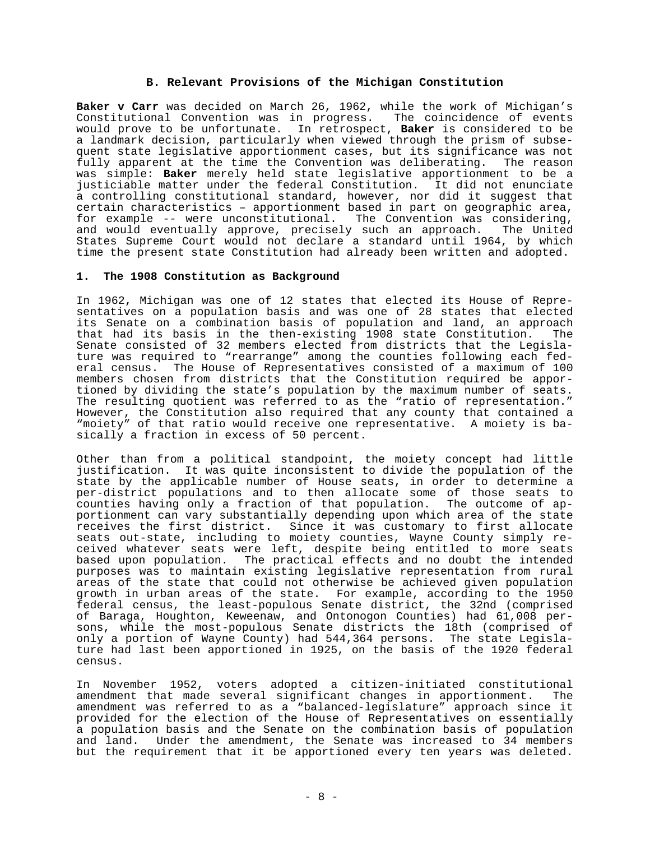### **B. Relevant Provisions of the Michigan Constitution**

**Baker v Carr** was decided on March 26, 1962, while the work of Michigan's Constitutional Convention was in progress. The coincidence of events would prove to be unfortunate. In retrospect, **Baker** is considered to be a landmark decision, particularly when viewed through the prism of subsequent state legislative apportionment cases, but its significance was not<br>fully apparent at the time the Convention was deliberating. The reason fully apparent at the time the Convention was deliberating. was simple: **Baker** merely held state legislative apportionment to be a justiciable matter under the federal Constitution. It did not enunciate a controlling constitutional standard, however, nor did it suggest that certain characteristics – apportionment based in part on geographic area, for example -- were unconstitutional. The Convention was considering, and would eventually approve, precisely such an approach. The United States Supreme Court would not declare a standard until 1964, by which time the present state Constitution had already been written and adopted.

#### **1. The 1908 Constitution as Background**

In 1962, Michigan was one of 12 states that elected its House of Representatives on a population basis and was one of 28 states that elected its Senate on a combination basis of population and land, an approach that had its basis in the then-existing 1908 state Constitution. The Senate consisted of 32 members elected from districts that the Legislature was required to "rearrange" among the counties following each federal census. The House of Representatives consisted of a maximum of 100 members chosen from districts that the Constitution required be apportioned by dividing the state's population by the maximum number of seats. The resulting quotient was referred to as the "ratio of representation." However, the Constitution also required that any county that contained a "moiety" of that ratio would receive one representative. A moiety is basically a fraction in excess of 50 percent.

Other than from a political standpoint, the moiety concept had little justification. It was quite inconsistent to divide the population of the state by the applicable number of House seats, in order to determine a per-district populations and to then allocate some of those seats to counties having only a fraction of that population. The outcome of apportionment can vary substantially depending upon which area of the state receives the first district. Since it was customary to first allocate seats out-state, including to moiety counties, Wayne County simply received whatever seats were left, despite being entitled to more seats based upon population. The practical effects and no doubt the intended purposes was to maintain existing legislative representation from rural areas of the state that could not otherwise be achieved given population growth in urban areas of the state. For example, according to the 1950 federal census, the least-populous Senate district, the 32nd (comprised of Baraga, Houghton, Keweenaw, and Ontonogon Counties) had 61,008 persons, while the most-populous Senate districts the 18th (comprised of only a portion of Wayne County) had 544,364 persons. The state Legislature had last been apportioned in 1925, on the basis of the 1920 federal census.

In November 1952, voters adopted a citizen-initiated constitutional amendment that made several significant changes in apportionment. The amendment was referred to as a "balanced-legislature" approach since it provided for the election of the House of Representatives on essentially a population basis and the Senate on the combination basis of population and land. Under the amendment, the Senate was increased to 34 members but the requirement that it be apportioned every ten years was deleted.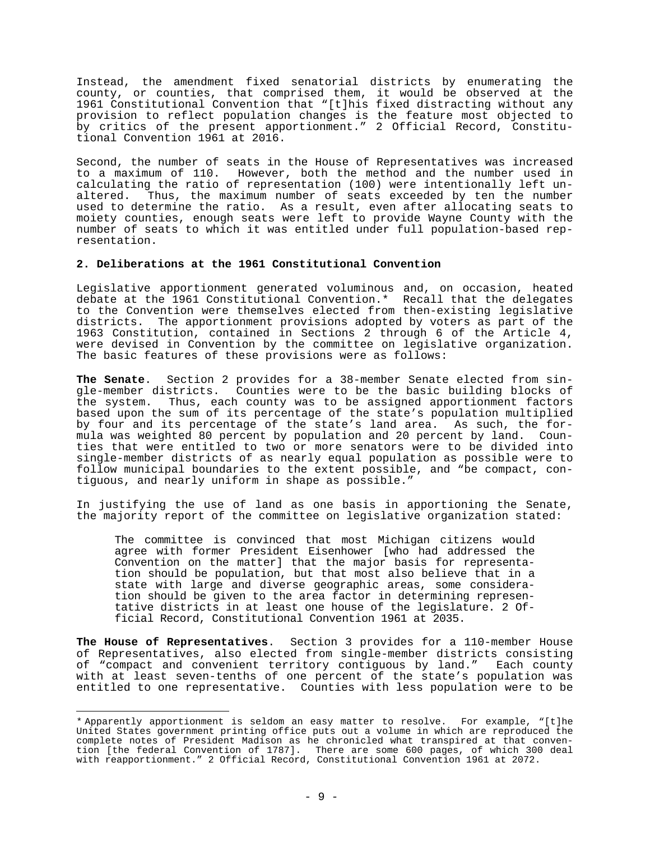Instead, the amendment fixed senatorial districts by enumerating the county, or counties, that comprised them, it would be observed at the 1961 Constitutional Convention that "[t]his fixed distracting without any provision to reflect population changes is the feature most objected to by critics of the present apportionment." 2 Official Record, Constitutional Convention 1961 at 2016.

Second, the number of seats in the House of Representatives was increased to a maximum of 110. However, both the method and the number used in calculating the ratio of representation (100) were intentionally left unaltered. Thus, the maximum number of seats exceeded by ten the number used to determine the ratio. As a result, even after allocating seats to moiety counties, enough seats were left to provide Wayne County with the number of seats to which it was entitled under full population-based representation.

# **2. Deliberations at the 1961 Constitutional Convention**

Legislative apportionment generated voluminous and, on occasion, heated debate at the 1961 Constitutional Convention.\* Recall that the delegates to the Convention were themselves elected from then-existing legislative districts. The apportionment provisions adopted by voters as part of the 1963 Constitution, contained in Sections 2 through 6 of the Article 4, were devised in Convention by the committee on legislative organization. The basic features of these provisions were as follows:

**The Senate**. Section 2 provides for a 38-member Senate elected from single-member districts. Counties were to be the basic building blocks of the system. Thus, each county was to be assigned apportionment factors based upon the sum of its percentage of the state's population multiplied by four and its percentage of the state's land area. As such, the formula was weighted 80 percent by population and 20 percent by land. Counties that were entitled to two or more senators were to be divided into single-member districts of as nearly equal population as possible were to follow municipal boundaries to the extent possible, and "be compact, contiguous, and nearly uniform in shape as possible."

In justifying the use of land as one basis in apportioning the Senate, the majority report of the committee on legislative organization stated:

The committee is convinced that most Michigan citizens would agree with former President Eisenhower [who had addressed the Convention on the matter] that the major basis for representation should be population, but that most also believe that in a state with large and diverse geographic areas, some consideration should be given to the area factor in determining representative districts in at least one house of the legislature. 2 Official Record, Constitutional Convention 1961 at 2035.

**The House of Representatives**. Section 3 provides for a 110-member House of Representatives, also elected from single-member districts consisting<br>of "compact and convenient territory contiquous by land." Each county of "compact and convenient territory contiguous by land." with at least seven-tenths of one percent of the state's population was entitled to one representative. Counties with less population were to be

<sup>\*</sup> Apparently apportionment is seldom an easy matter to resolve. For example, "[t]he United States government printing office puts out a volume in which are reproduced the complete notes of President Madison as he chronicled what transpired at that convention [the federal Convention of 1787]. There are some 600 pages, of which 300 deal with reapportionment." 2 Official Record, Constitutional Convention 1961 at 2072.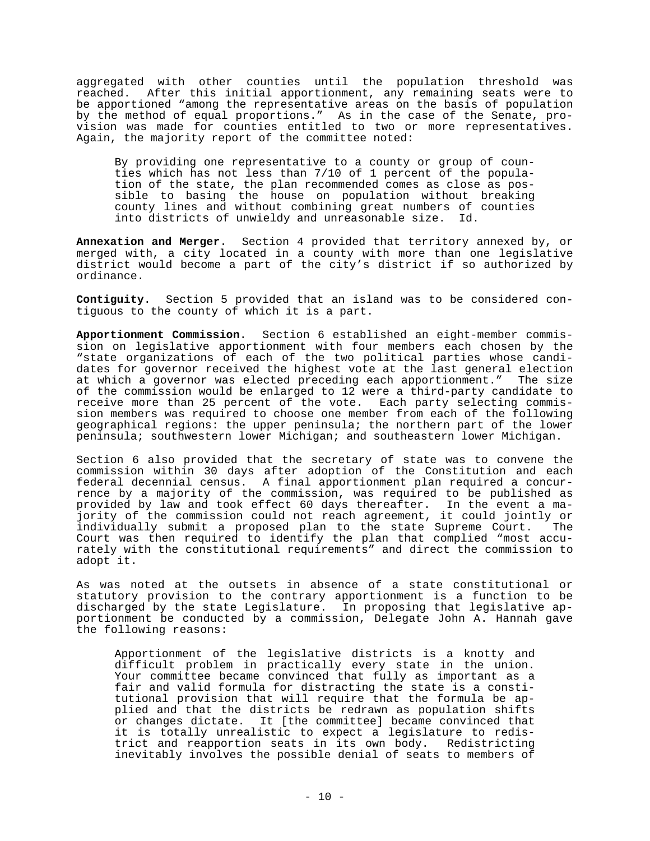aggregated with other counties until the population threshold was<br>reached. After this initial apportionment, any remaining seats were to After this initial apportionment, any remaining seats were to be apportioned "among the representative areas on the basis of population by the method of equal proportions." As in the case of the Senate, provision was made for counties entitled to two or more representatives. Again, the majority report of the committee noted:

By providing one representative to a county or group of coun-By providing one representative to a remark of the popula-<br>ties which has not less than 7/10 of 1 percent of the population of the state, the plan recommended comes as close as possible to basing the house on population without breaking county lines and without combining great numbers of counties into districts of unwieldy and unreasonable size. Id.

**Annexation and Merger**. Section 4 provided that territory annexed by, or merged with, a city located in a county with more than one legislative district would become a part of the city's district if so authorized by ordinance.

**Contiguity**. Section 5 provided that an island was to be considered contiguous to the county of which it is a part.

**Apportionment Commission**. Section 6 established an eight-member commission on legislative apportionment with four members each chosen by the "state organizations of each of the two political parties whose candidates for governor received the highest vote at the last general election at which a governor was elected preceding each apportionment." The size of the commission would be enlarged to 12 were a third-party candidate to receive more than 25 percent of the vote. Each party selecting commission members was required to choose one member from each of the following geographical regions: the upper peninsula; the northern part of the lower peninsula; southwestern lower Michigan; and southeastern lower Michigan.

Section 6 also provided that the secretary of state was to convene the commission within 30 days after adoption of the Constitution and each federal decennial census. A final apportionment plan required a concurrence by a majority of the commission, was required to be published as provided by law and took effect 60 days thereafter. In the event a majority of the commission could not reach agreement, it could jointly or individually submit a proposed plan to the state Supreme Court. The Court was then required to identify the plan that complied "most accurately with the constitutional requirements" and direct the commission to adopt it.

As was noted at the outsets in absence of a state constitutional or statutory provision to the contrary apportionment is a function to be discharged by the state Legislature. In proposing that legislative apportionment be conducted by a commission, Delegate John A. Hannah gave the following reasons:

Apportionment of the legislative districts is a knotty and difficult problem in practically every state in the union. Your committee became convinced that fully as important as a fair and valid formula for distracting the state is a constitutional provision that will require that the formula be applied and that the districts be redrawn as population shifts or changes dictate. It [the committee] became convinced that it is totally unrealistic to expect a legislature to redistrict and reapportion seats in its own body. Redistricting inevitably involves the possible denial of seats to members of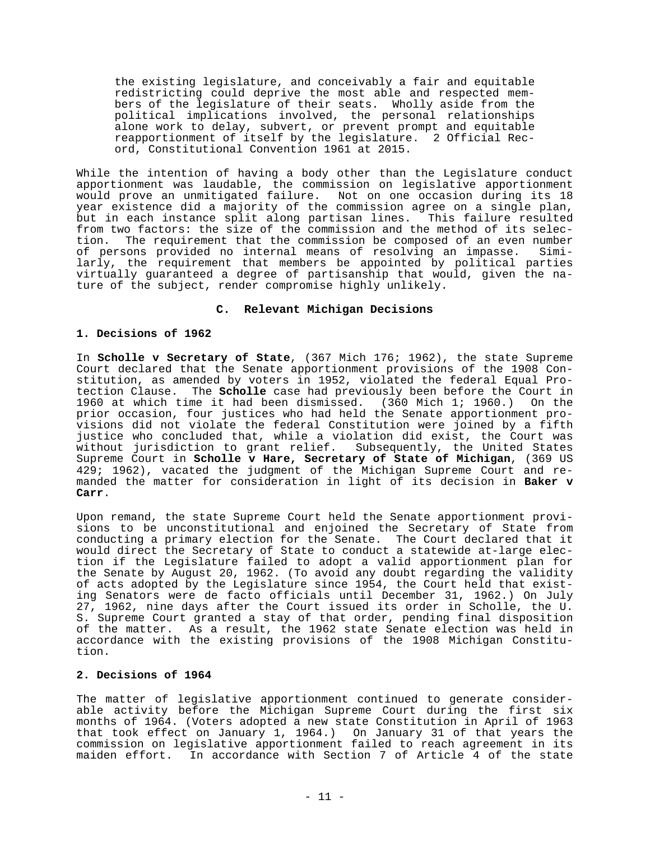the existing legislature, and conceivably a fair and equitable redistricting could deprive the most able and respected members of the legislature of their seats. Wholly aside from the political implications involved, the personal relationships alone work to delay, subvert, or prevent prompt and equitable reapportionment of itself by the legislature. 2 Official Record, Constitutional Convention 1961 at 2015.

While the intention of having a body other than the Legislature conduct apportionment was laudable, the commission on legislative apportionment would prove an unmitigated failure. Not on one occasion during its 18 year existence did a majority of the commission agree on a single plan, but in each instance split along partisan lines. This failure resulted from two factors: the size of the commission and the method of its selection. The requirement that the commission be composed of an even number of persons provided no internal means of resolving an impasse. Similarly, the requirement that members be appointed by political parties virtually guaranteed a degree of partisanship that would, given the nature of the subject, render compromise highly unlikely.

## **C. Relevant Michigan Decisions**

#### **1. Decisions of 1962**

In **Scholle v Secretary of State**, (367 Mich 176; 1962), the state Supreme Court declared that the Senate apportionment provisions of the 1908 Constitution, as amended by voters in 1952, violated the federal Equal Protection Clause. The **Scholle** case had previously been before the Court in 1960 at which time it had been dismissed. (360 Mich 1; 1960.) On the prior occasion, four justices who had held the Senate apportionment provisions did not violate the federal Constitution were joined by a fifth justice who concluded that, while a violation did exist, the Court was without jurisdiction to grant relief. Subsequently, the United States Supreme Court in **Scholle v Hare, Secretary of State of Michigan**, (369 US 429; 1962), vacated the judgment of the Michigan Supreme Court and remanded the matter for consideration in light of its decision in **Baker v Carr**.

Upon remand, the state Supreme Court held the Senate apportionment provisions to be unconstitutional and enjoined the Secretary of State from conducting a primary election for the Senate. The Court declared that it would direct the Secretary of State to conduct a statewide at-large election if the Legislature failed to adopt a valid apportionment plan for the Senate by August 20, 1962. (To avoid any doubt regarding the validity of acts adopted by the Legislature since 1954, the Court held that existing Senators were de facto officials until December 31, 1962.) On July 27, 1962, nine days after the Court issued its order in Scholle, the U. S. Supreme Court granted a stay of that order, pending final disposition of the matter. As a result, the 1962 state Senate election was held in accordance with the existing provisions of the 1908 Michigan Constitution.

#### **2. Decisions of 1964**

The matter of legislative apportionment continued to generate considerable activity before the Michigan Supreme Court during the first six months of 1964. (Voters adopted a new state Constitution in April of 1963 that took effect on January 1, 1964.) On January 31 of that years the commission on legislative apportionment failed to reach agreement in its maiden effort. In accordance with Section 7 of Article 4 of the state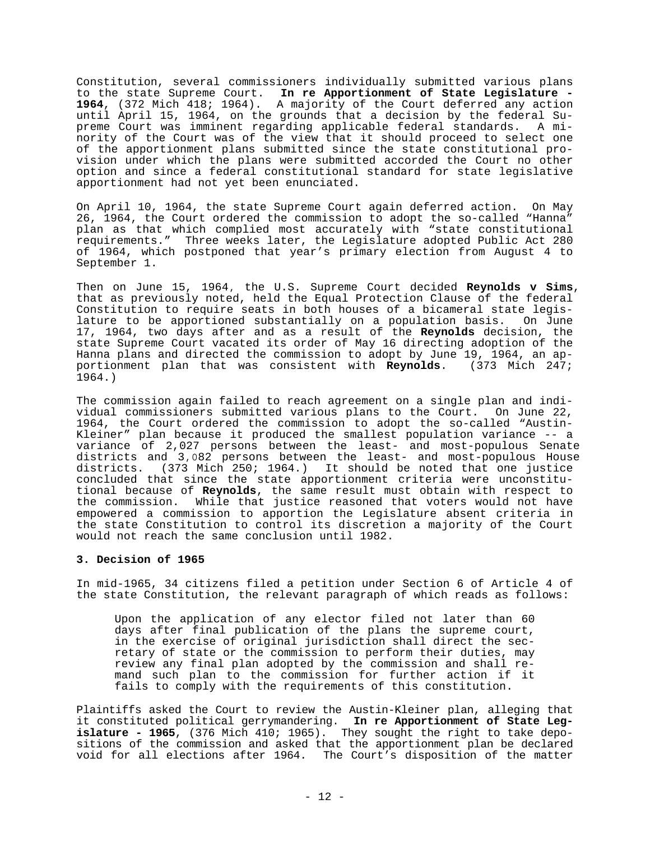Constitution, several commissioners individually submitted various plans to the state Supreme Court. **In re Apportionment of State Legislature - 1964**, (372 Mich 418; 1964). A majority of the Court deferred any action until April 15, 1964, on the grounds that a decision by the federal Supreme Court was imminent regarding applicable federal standards. A minority of the Court was of the view that it should proceed to select one of the apportionment plans submitted since the state constitutional provision under which the plans were submitted accorded the Court no other option and since a federal constitutional standard for state legislative apportionment had not yet been enunciated.

On April 10, 1964, the state Supreme Court again deferred action. On May 26, 1964, the Court ordered the commission to adopt the so-called "Hanna" plan as that which complied most accurately with "state constitutional requirements." Three weeks later, the Legislature adopted Public Act 280 of 1964, which postponed that year's primary election from August 4 to September 1.

Then on June 15, 1964, the U.S. Supreme Court decided **Reynolds v Sims**, that as previously noted, held the Equal Protection Clause of the federal Constitution to require seats in both houses of a bicameral state legislature to be apportioned substantially on a population basis. On June 17, 1964, two days after and as a result of the **Reynolds** decision, the state Supreme Court vacated its order of May 16 directing adoption of the Hanna plans and directed the commission to adopt by June 19, 1964, an apportionment plan that was consistent with **Reynolds**. (373 Mich 247; 1964.)

The commission again failed to reach agreement on a single plan and individual commissioners submitted various plans to the Court. On June 22, 1964, the Court ordered the commission to adopt the so-called "Austin-Kleiner" plan because it produced the smallest population variance -- a variance of 2,027 persons between the least- and most-populous Senate districts and 3,082 persons between the least- and most-populous House districts. (373 Mich 250; 1964.) It should be noted that one justice concluded that since the state apportionment criteria were unconstitutional because of **Reynolds**, the same result must obtain with respect to the commission. While that justice reasoned that voters would not have empowered a commission to apportion the Legislature absent criteria in the state Constitution to control its discretion a majority of the Court would not reach the same conclusion until 1982.

## **3. Decision of 1965**

In mid-1965, 34 citizens filed a petition under Section 6 of Article 4 of the state Constitution, the relevant paragraph of which reads as follows:

Upon the application of any elector filed not later than 60 days after final publication of the plans the supreme court, in the exercise of original jurisdiction shall direct the secretary of state or the commission to perform their duties, may review any final plan adopted by the commission and shall remand such plan to the commission for further action if it fails to comply with the requirements of this constitution.

Plaintiffs asked the Court to review the Austin-Kleiner plan, alleging that it constituted political gerrymandering. **In re Apportionment of State Legislature - 1965**, (376 Mich 410; 1965). They sought the right to take depositions of the commission and asked that the apportionment plan be declared void for all elections after 1964. The Court's disposition of the matter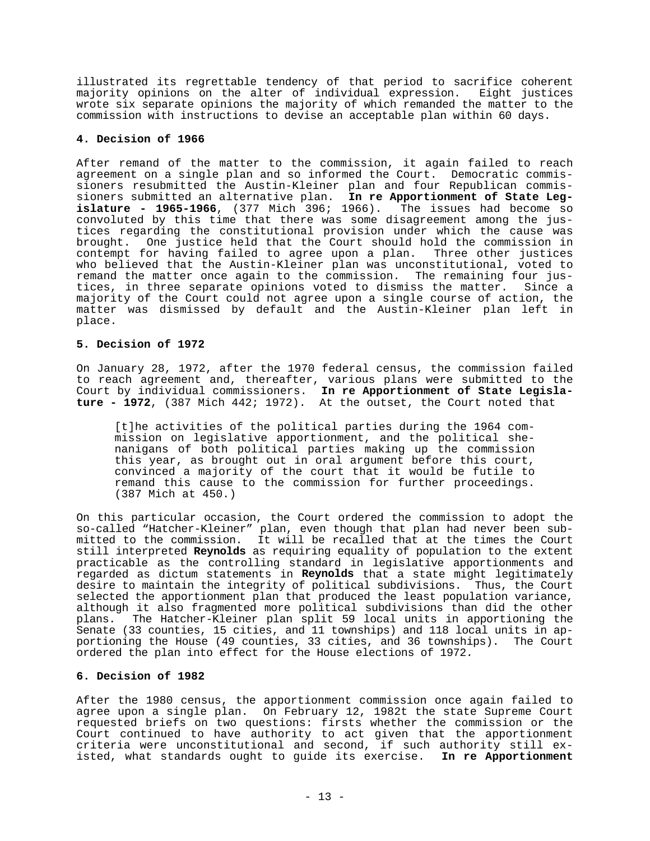illustrated its regrettable tendency of that period to sacrifice coherent majority opinions on the alter of individual expression. Eight justices wrote six separate opinions the majority of which remanded the matter to the commission with instructions to devise an acceptable plan within 60 days.

## **4. Decision of 1966**

After remand of the matter to the commission, it again failed to reach agreement on a single plan and so informed the Court. Democratic commissioners resubmitted the Austin-Kleiner plan and four Republican commissioners submitted an alternative plan. **In re Apportionment of State Legislature - 1965-1966**, (377 Mich 396; 1966). The issues had become so convoluted by this time that there was some disagreement among the justices regarding the constitutional provision under which the cause was brought. One justice held that the Court should hold the commission in contempt for having failed to agree upon a plan. Three other justices who believed that the Austin-Kleiner plan was unconstitutional, voted to remand the matter once again to the commission. The remaining four justices, in three separate opinions voted to dismiss the matter. Since a majority of the Court could not agree upon a single course of action, the matter was dismissed by default and the Austin-Kleiner plan left in place.

#### **5. Decision of 1972**

On January 28, 1972, after the 1970 federal census, the commission failed to reach agreement and, thereafter, various plans were submitted to the Court by individual commissioners. **In re Apportionment of State Legislature - 1972**, (387 Mich 442; 1972). At the outset, the Court noted that

[t]he activities of the political parties during the 1964 commission on legislative apportionment, and the political shenanigans of both political parties making up the commission this year, as brought out in oral argument before this court, convinced a majority of the court that it would be futile to remand this cause to the commission for further proceedings. (387 Mich at 450.)

On this particular occasion, the Court ordered the commission to adopt the so-called "Hatcher-Kleiner" plan, even though that plan had never been submitted to the commission. It will be recalled that at the times the Court still interpreted **Reynolds** as requiring equality of population to the extent practicable as the controlling standard in legislative apportionments and regarded as dictum statements in **Reynolds** that a state might legitimately desire to maintain the integrity of political subdivisions. Thus, the Court selected the apportionment plan that produced the least population variance, although it also fragmented more political subdivisions than did the other plans. The Hatcher-Kleiner plan split 59 local units in apportioning the Senate (33 counties, 15 cities, and 11 townships) and 118 local units in apportioning the House (49 counties, 33 cities, and 36 townships). The Court ordered the plan into effect for the House elections of 1972.

## **6. Decision of 1982**

After the 1980 census, the apportionment commission once again failed to agree upon a single plan. On February 12, 1982t the state Supreme Court requested briefs on two questions: firsts whether the commission or the Court continued to have authority to act given that the apportionment criteria were unconstitutional and second, if such authority still existed, what standards ought to guide its exercise. **In re Apportionment**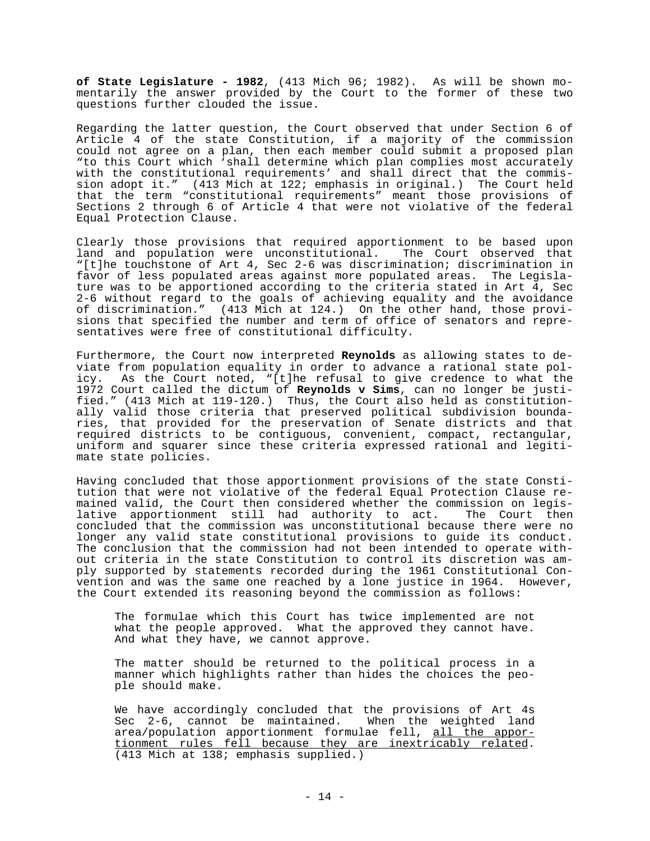**of State Legislature - 1982**, (413 Mich 96; 1982). As will be shown momentarily the answer provided by the Court to the former of these two questions further clouded the issue.

Regarding the latter question, the Court observed that under Section 6 of Article 4 of the state Constitution, if a majority of the commission could not agree on a plan, then each member could submit a proposed plan "to this Court which 'shall determine which plan complies most accurately with the constitutional requirements' and shall direct that the commission adopt it." (413 Mich at 122; emphasis in original.) The Court held that the term "constitutional requirements" meant those provisions of Sections 2 through 6 of Article 4 that were not violative of the federal Equal Protection Clause.

Clearly those provisions that required apportionment to be based upon land and population were unconstitutional. The Court observed that "[t]he touchstone of Art 4, Sec 2-6 was discrimination; discrimination in favor of less populated areas against more populated areas. The Legislature was to be apportioned according to the criteria stated in Art 4, Sec 2-6 without regard to the goals of achieving equality and the avoidance of discrimination." (413 Mich at 124.) On the other hand, those provisions that specified the number and term of office of senators and representatives were free of constitutional difficulty.

Furthermore, the Court now interpreted **Reynolds** as allowing states to deviate from population equality in order to advance a rational state policy. As the Court noted, "[t]he refusal to give credence to what the 1972 Court called the dictum of **Reynolds v Sims**, can no longer be justified." (413 Mich at 119-120.) Thus, the Court also held as constitutionally valid those criteria that preserved political subdivision boundaries, that provided for the preservation of Senate districts and that required districts to be contiguous, convenient, compact, rectangular, uniform and squarer since these criteria expressed rational and legitimate state policies.

Having concluded that those apportionment provisions of the state Constitution that were not violative of the federal Equal Protection Clause remained valid, the Court then considered whether the commission on legislative apportionment still had authority to act. The Court then concluded that the commission was unconstitutional because there were no longer any valid state constitutional provisions to guide its conduct. The conclusion that the commission had not been intended to operate without criteria in the state Constitution to control its discretion was amply supported by statements recorded during the 1961 Constitutional Convention and was the same one reached by a lone justice in 1964. However, the Court extended its reasoning beyond the commission as follows:

The formulae which this Court has twice implemented are not what the people approved. What the approved they cannot have. And what they have, we cannot approve.

The matter should be returned to the political process in a manner which highlights rather than hides the choices the people should make.

We have accordingly concluded that the provisions of Art 4s Sec 2-6, cannot be maintained. When the weighted land area/population apportionment formulae fell, all the apportionment rules fell because they are inextricably related. (413 Mich at 138; emphasis supplied.)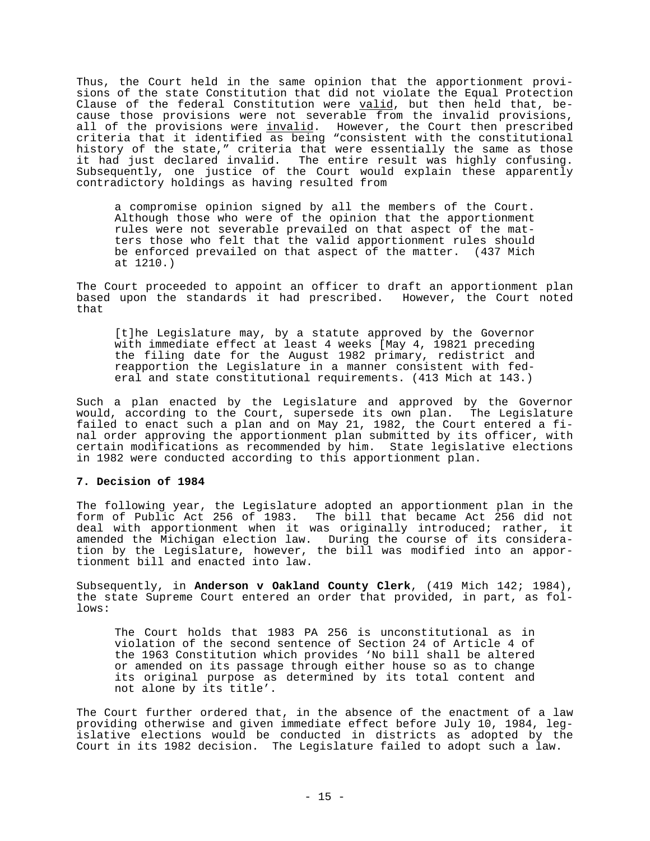Thus, the Court held in the same opinion that the apportionment provisions of the state Constitution that did not violate the Equal Protection Clause of the federal Constitution were valid, but then held that, because those provisions were not severable from the invalid provisions, all of the provisions were invalid. However, the Court then prescribed criteria that it identified as being "consistent with the constitutional history of the state," criteria that were essentially the same as those it had just declared invalid. The entire result was highly confusing. Subsequently, one justice of the Court would explain these apparently contradictory holdings as having resulted from

a compromise opinion signed by all the members of the Court. Although those who were of the opinion that the apportionment rules were not severable prevailed on that aspect of the matters those who felt that the valid apportionment rules should be enforced prevailed on that aspect of the matter. (437 Mich at 1210.)

The Court proceeded to appoint an officer to draft an apportionment plan based upon the standards it had prescribed. However, the Court noted that

[t]he Legislature may, by a statute approved by the Governor with immediate effect at least 4 weeks [May 4, 19821 preceding the filing date for the August 1982 primary, redistrict and reapportion the Legislature in a manner consistent with federal and state constitutional requirements. (413 Mich at 143.)

Such a plan enacted by the Legislature and approved by the Governor would, according to the Court, supersede its own plan. The Legislature failed to enact such a plan and on May 21, 1982, the Court entered a final order approving the apportionment plan submitted by its officer, with certain modifications as recommended by him. State legislative elections in 1982 were conducted according to this apportionment plan.

#### **7. Decision of 1984**

The following year, the Legislature adopted an apportionment plan in the form of Public Act 256 of 1983. The bill that became Act 256 did not deal with apportionment when it was originally introduced; rather, it amended the Michigan election law. During the course of its consideration by the Legislature, however, the bill was modified into an apportionment bill and enacted into law.

Subsequently, in **Anderson v Oakland County Clerk**, (419 Mich 142; 1984), the state Supreme Court entered an order that provided, in part, as follows:

The Court holds that 1983 PA 256 is unconstitutional as in violation of the second sentence of Section 24 of Article 4 of the 1963 Constitution which provides 'No bill shall be altered or amended on its passage through either house so as to change its original purpose as determined by its total content and not alone by its title'.

The Court further ordered that, in the absence of the enactment of a law providing otherwise and given immediate effect before July 10, 1984, legislative elections would be conducted in districts as adopted by the Court in its 1982 decision. The Legislature failed to adopt such a law.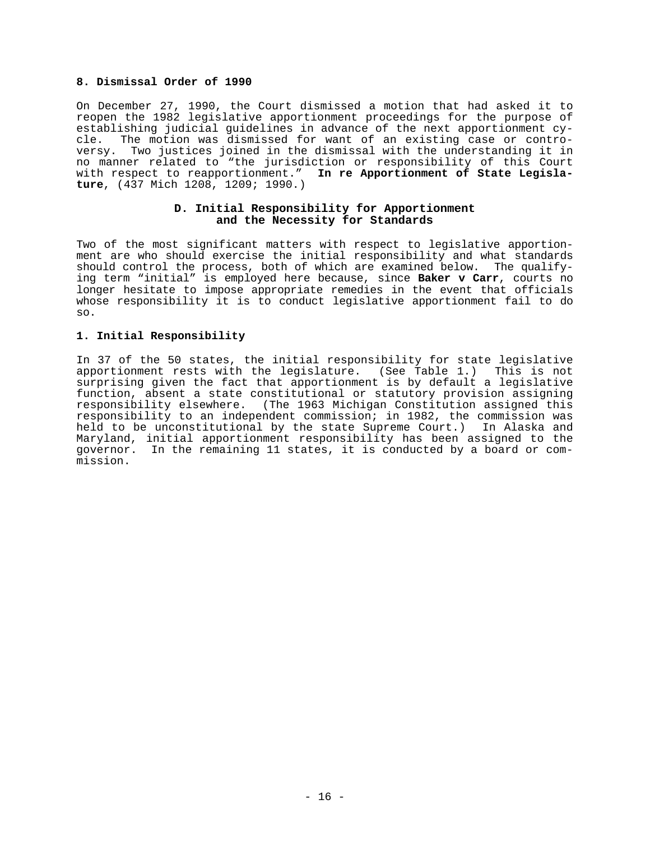## **8. Dismissal Order of 1990**

On December 27, 1990, the Court dismissed a motion that had asked it to reopen the 1982 legislative apportionment proceedings for the purpose of establishing judicial guidelines in advance of the next apportionment cycle. The motion was dismissed for want of an existing case or controversy. Two justices joined in the dismissal with the understanding it in no manner related to "the jurisdiction or responsibility of this Court with respect to reapportionment." **In re Apportionment of State Legislature**, (437 Mich 1208, 1209; 1990.)

### **D. Initial Responsibility for Apportionment and the Necessity for Standards**

Two of the most significant matters with respect to legislative apportionment are who should exercise the initial responsibility and what standards should control the process, both of which are examined below. The qualifying term "initial" is employed here because, since **Baker v Carr**, courts no longer hesitate to impose appropriate remedies in the event that officials whose responsibility it is to conduct legislative apportionment fail to do so.

## **1. Initial Responsibility**

In 37 of the 50 states, the initial responsibility for state legislative apportionment rests with the legislature. (See Table 1.) This is not surprising given the fact that apportionment is by default a legislative function, absent a state constitutional or statutory provision assigning responsibility elsewhere. (The 1963 Michigan Constitution assigned this responsibility to an independent commission; in 1982, the commission was held to be unconstitutional by the state Supreme Court.) In Alaska and Maryland, initial apportionment responsibility has been assigned to the governor. In the remaining 11 states, it is conducted by a board or commission.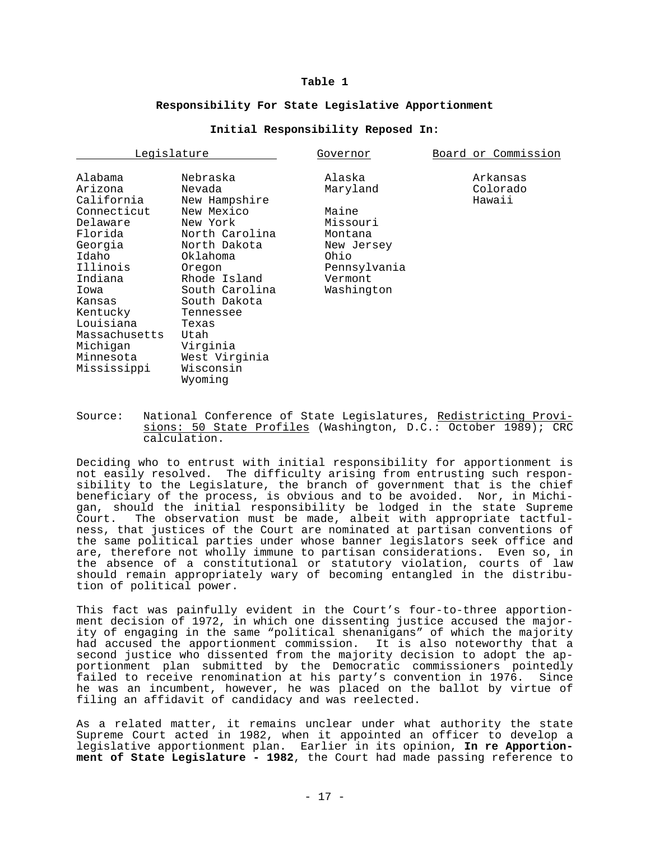#### **Table 1**

#### **Responsibility For State Legislative Apportionment**

### **Initial Responsibility Reposed In:**

| Legislature   |                | Governor     | Board or Commission |  |  |
|---------------|----------------|--------------|---------------------|--|--|
| Alabama       | Nebraska       | Alaska       | Arkansas            |  |  |
| Arizona       | Nevada         | Maryland     | Colorado            |  |  |
| California    | New Hampshire  |              | Hawaii              |  |  |
| Connecticut   | New Mexico     | Maine        |                     |  |  |
| Delaware      | New York       | Missouri     |                     |  |  |
| Florida       | North Carolina | Montana      |                     |  |  |
| Georgia       | North Dakota   | New Jersey   |                     |  |  |
| Idaho         | Oklahoma       | Ohio         |                     |  |  |
| Illinois      | Oregon         | Pennsylvania |                     |  |  |
| Indiana       | Rhode Island   | Vermont      |                     |  |  |
| Iowa          | South Carolina | Washington   |                     |  |  |
| Kansas        | South Dakota   |              |                     |  |  |
| Kentucky      | Tennessee      |              |                     |  |  |
| Louisiana     | Texas          |              |                     |  |  |
| Massachusetts | Utah           |              |                     |  |  |
| Michigan      | Virginia       |              |                     |  |  |
| Minnesota     | West Virginia  |              |                     |  |  |
| Mississippi   | Wisconsin      |              |                     |  |  |
|               | Wyoming        |              |                     |  |  |

Source: National Conference of State Legislatures, Redistricting Provisions: 50 State Profiles (Washington, D.C.: October 1989); CRC calculation.

Deciding who to entrust with initial responsibility for apportionment is not easily resolved. The difficulty arising from entrusting such responsibility to the Legislature, the branch of government that is the chief beneficiary of the process, is obvious and to be avoided. Nor, in Michigan, should the initial responsibility be lodged in the state Supreme Court. The observation must be made, albeit with appropriate tactfulness, that justices of the Court are nominated at partisan conventions of the same political parties under whose banner legislators seek office and are, therefore not wholly immune to partisan considerations. Even so, in the absence of a constitutional or statutory violation, courts of law should remain appropriately wary of becoming entangled in the distribution of political power.

This fact was painfully evident in the Court's four-to-three apportionment decision of 1972, in which one dissenting justice accused the majority of engaging in the same "political shenanigans" of which the majority had accused the apportionment commission. It is also noteworthy that a second justice who dissented from the majority decision to adopt the apportionment plan submitted by the Democratic commissioners pointedly failed to receive renomination at his party's convention in 1976. Since he was an incumbent, however, he was placed on the ballot by virtue of filing an affidavit of candidacy and was reelected.

As a related matter, it remains unclear under what authority the state Supreme Court acted in 1982, when it appointed an officer to develop a legislative apportionment plan. Earlier in its opinion, **In re Apportionment of State Legislature - 1982**, the Court had made passing reference to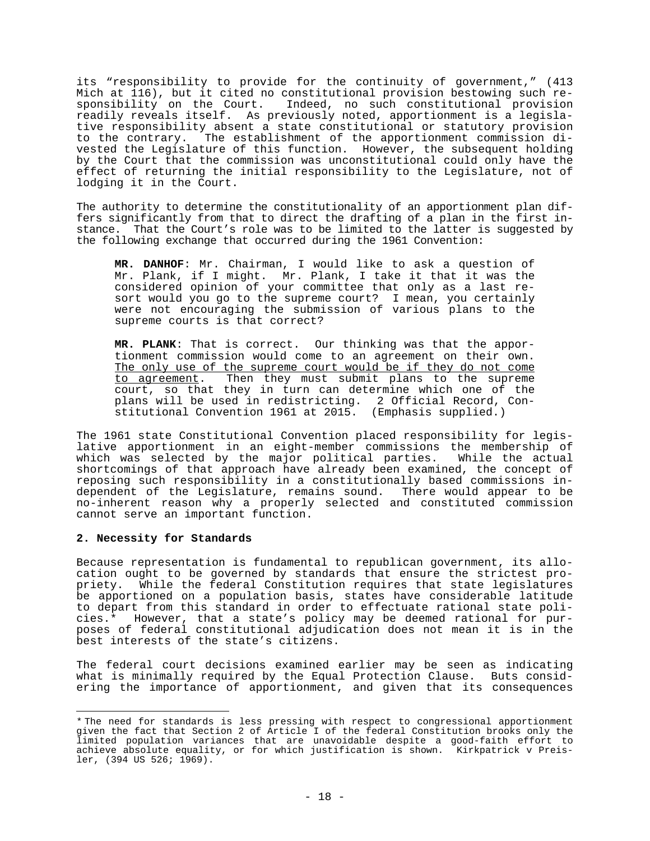its "responsibility to provide for the continuity of government," (413 Mich at 116), but it cited no constitutional provision bestowing such responsibility on the Court. Indeed, no such constitutional provision readily reveals itself. As previously noted, apportionment is a legislative responsibility absent a state constitutional or statutory provision to the contrary. The establishment of the apportionment commission divested the Legislature of this function. However, the subsequent holding by the Court that the commission was unconstitutional could only have the effect of returning the initial responsibility to the Legislature, not of lodging it in the Court.

The authority to determine the constitutionality of an apportionment plan differs significantly from that to direct the drafting of a plan in the first instance. That the Court's role was to be limited to the latter is suggested by the following exchange that occurred during the 1961 Convention:

**MR. DANHOF**: Mr. Chairman, I would like to ask a question of Mr. Plank, if I might. Mr. Plank, I take it that it was the considered opinion of your committee that only as a last resort would you go to the supreme court? I mean, you certainly were not encouraging the submission of various plans to the supreme courts is that correct?

**MR. PLANK**: That is correct. Our thinking was that the apportionment commission would come to an agreement on their own. The only use of the supreme court would be if they do not come to agreement. Then they must submit plans to the supreme court, so that they in turn can determine which one of the plans will be used in redistricting. 2 Official Record, Constitutional Convention 1961 at 2015. (Emphasis supplied.)

The 1961 state Constitutional Convention placed responsibility for legislative apportionment in an eight-member commissions the membership of which was selected by the major political parties. While the actual shortcomings of that approach have already been examined, the concept of reposing such responsibility in a constitutionally based commissions independent of the Legislature, remains sound. There would appear to be no-inherent reason why a properly selected and constituted commission cannot serve an important function.

## **2. Necessity for Standards**

Because representation is fundamental to republican government, its allocation ought to be governed by standards that ensure the strictest propriety. While the federal Constitution requires that state legislatures be apportioned on a population basis, states have considerable latitude to depart from this standard in order to effectuate rational state policies.\* However, that a state's policy may be deemed rational for purposes of federal constitutional adjudication does not mean it is in the best interests of the state's citizens.

The federal court decisions examined earlier may be seen as indicating what is minimally required by the Equal Protection Clause. Buts considering the importance of apportionment, and given that its consequences

<sup>\*</sup> The need for standards is less pressing with respect to congressional apportionment given the fact that Section 2 of Article I of the federal Constitution brooks only the limited population variances that are unavoidable despite a good-faith effort to achieve absolute equality, or for which justification is shown. Kirkpatrick v Preisler, (394 US 526; 1969).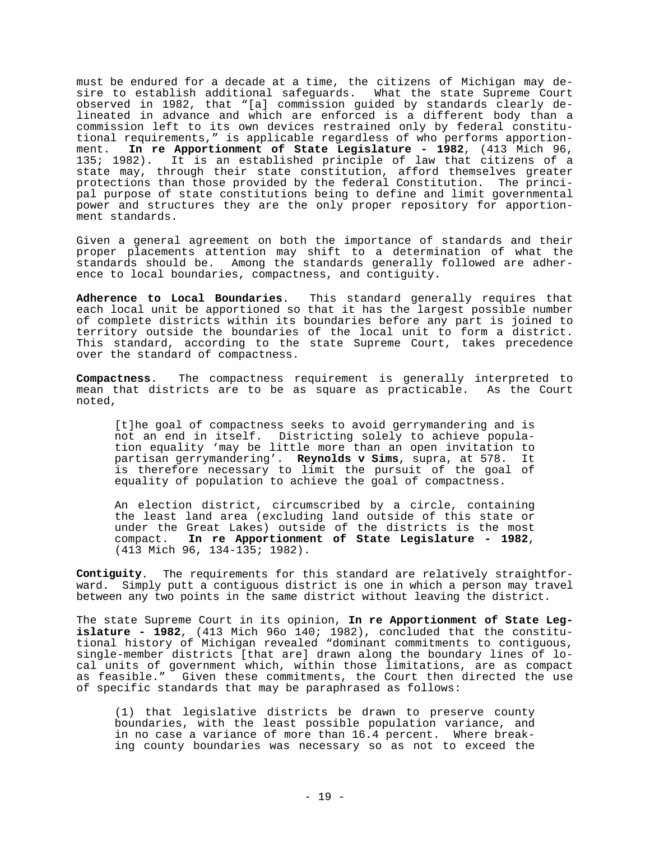must be endured for a decade at a time, the citizens of Michigan may desire to establish additional safeguards. What the state Supreme Court observed in 1982, that "[a] commission guided by standards clearly delineated in advance and which are enforced is a different body than a commission left to its own devices restrained only by federal constitutional requirements," is applicable regardless of who performs apportionment. **In re Apportionment of State Legislature - 1982**, (413 Mich 96, 135; 1982). It is an established principle of law that citizens of a state may, through their state constitution, afford themselves greater protections than those provided by the federal Constitution. The principal purpose of state constitutions being to define and limit governmental power and structures they are the only proper repository for apportionment standards.

Given a general agreement on both the importance of standards and their proper placements attention may shift to a determination of what the standards should be. Among the standards generally followed are adherence to local boundaries, compactness, and contiguity.

**Adherence to Local Boundaries**. This standard generally requires that each local unit be apportioned so that it has the largest possible number of complete districts within its boundaries before any part is joined to territory outside the boundaries of the local unit to form a district. This standard, according to the state Supreme Court, takes precedence over the standard of compactness.

**Compactness**. The compactness requirement is generally interpreted to mean that districts are to be as square as practicable. As the Court noted,

[t]he goal of compactness seeks to avoid gerrymandering and is not an end in itself. Districting solely to achieve population equality 'may be little more than an open invitation to partisan gerrymandering'. **Reynolds v Sims**, supra, at 578. It is therefore necessary to limit the pursuit of the goal of equality of population to achieve the goal of compactness.

An election district, circumscribed by a circle, containing the least land area (excluding land outside of this state or under the Great Lakes) outside of the districts is the most compact. **In re Apportionment of State Legislature - 1982**, (413 Mich 96, 134-135; 1982).

**Contiguity**. The requirements for this standard are relatively straightforward. Simply putt a contiguous district is one in which a person may travel between any two points in the same district without leaving the district.

The state Supreme Court in its opinion, **In re Apportionment of State Legislature - 1982**, (413 Mich 96o 140; 1982), concluded that the constitutional history of Michigan revealed "dominant commitments to contiguous, single-member districts [that are] drawn along the boundary lines of local units of government which, within those limitations, are as compact as feasible." Given these commitments, the Court then directed the use of specific standards that may be paraphrased as follows:

(1) that legislative districts be drawn to preserve county boundaries, with the least possible population variance, and in no case a variance of more than 16.4 percent. Where breaking county boundaries was necessary so as not to exceed the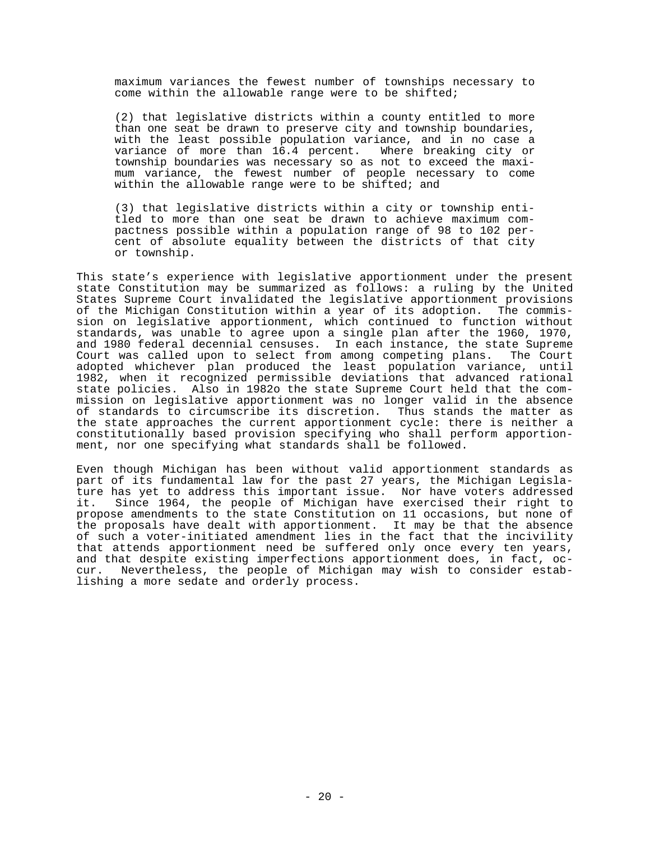maximum variances the fewest number of townships necessary to come within the allowable range were to be shifted;

(2) that legislative districts within a county entitled to more than one seat be drawn to preserve city and township boundaries, with the least possible population variance, and in no case a variance of more than 16.4 percent. Where breaking city or township boundaries was necessary so as not to exceed the maximum variance, the fewest number of people necessary to come within the allowable range were to be shifted; and

(3) that legislative districts within a city or township entitled to more than one seat be drawn to achieve maximum compactness possible within a population range of 98 to 102 percent of absolute equality between the districts of that city or township.

This state's experience with legislative apportionment under the present state Constitution may be summarized as follows: a ruling by the United States Supreme Court invalidated the legislative apportionment provisions of the Michigan Constitution within a year of its adoption. The commission on legislative apportionment, which continued to function without standards, was unable to agree upon a single plan after the 1960, 1970, and 1980 federal decennial censuses. In each instance, the state Supreme Court was called upon to select from among competing plans. The Court adopted whichever plan produced the least population variance, until 1982, when it recognized permissible deviations that advanced rational state policies. Also in 1982o the state Supreme Court held that the commission on legislative apportionment was no longer valid in the absence of standards to circumscribe its discretion. Thus stands the matter as the state approaches the current apportionment cycle: there is neither a constitutionally based provision specifying who shall perform apportionment, nor one specifying what standards shall be followed.

Even though Michigan has been without valid apportionment standards as part of its fundamental law for the past 27 years, the Michigan Legislature has yet to address this important issue. Nor have voters addressed it. Since 1964, the people of Michigan have exercised their right to propose amendments to the state Constitution on 11 occasions, but none of the proposals have dealt with apportionment. It may be that the absence of such a voter-initiated amendment lies in the fact that the incivility that attends apportionment need be suffered only once every ten years, and that despite existing imperfections apportionment does, in fact, occur. Nevertheless, the people of Michigan may wish to consider establishing a more sedate and orderly process.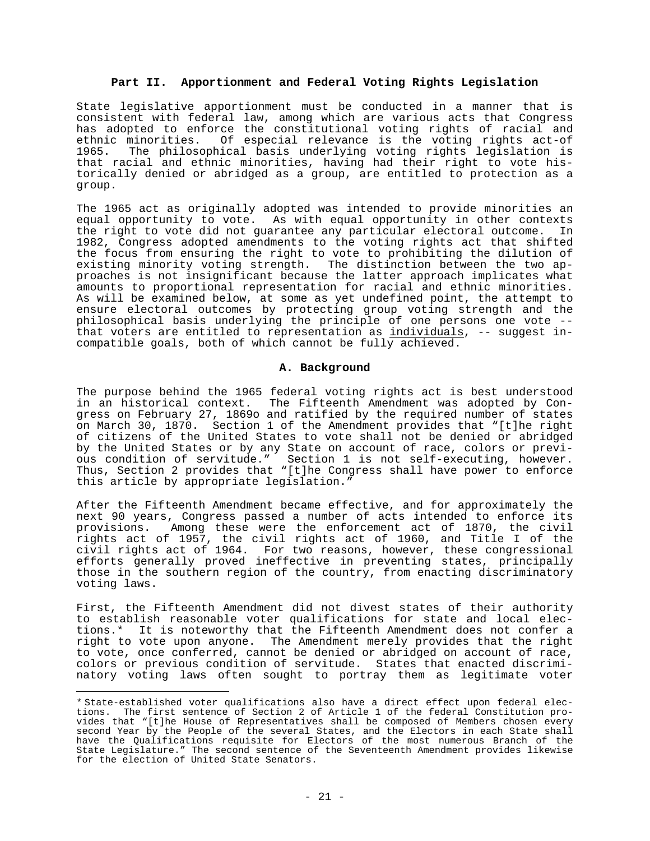### **Part II. Apportionment and Federal Voting Rights Legislation**

State legislative apportionment must be conducted in a manner that is consistent with federal law, among which are various acts that Congress has adopted to enforce the constitutional voting rights of racial and ethnic minorities. Of especial relevance is the voting rights act-of 1965. The philosophical basis underlying voting rights legislation is that racial and ethnic minorities, having had their right to vote historically denied or abridged as a group, are entitled to protection as a group.

The 1965 act as originally adopted was intended to provide minorities an equal opportunity to vote. As with equal opportunity in other contexts the right to vote did not guarantee any particular electoral outcome. In 1982, Congress adopted amendments to the voting rights act that shifted the focus from ensuring the right to vote to prohibiting the dilution of existing minority voting strength. The distinction between the two approaches is not insignificant because the latter approach implicates what amounts to proportional representation for racial and ethnic minorities. As will be examined below, at some as yet undefined point, the attempt to ensure electoral outcomes by protecting group voting strength and the philosophical basis underlying the principle of one persons one vote - that voters are entitled to representation as individuals, -- suggest incompatible goals, both of which cannot be fully achieved.

## **A. Background**

The purpose behind the 1965 federal voting rights act is best understood in an historical context. The Fifteenth Amendment was adopted by Congress on February 27, 1869o and ratified by the required number of states on March 30, 1870. Section 1 of the Amendment provides that "[t]he right of citizens of the United States to vote shall not be denied or abridged by the United States or by any State on account of race, colors or previous condition of servitude." Section 1 is not self-executing, however. Thus, Section 2 provides that "[t]he Congress shall have power to enforce this article by appropriate legislation."

After the Fifteenth Amendment became effective, and for approximately the next 90 years, Congress passed a number of acts intended to enforce its provisions. Among these were the enforcement act of 1870, the civil rights act of 1957, the civil rights act of 1960, and Title I of the civil rights act of 1964. For two reasons, however, these congressional efforts generally proved ineffective in preventing states, principally those in the southern region of the country, from enacting discriminatory voting laws.

First, the Fifteenth Amendment did not divest states of their authority to establish reasonable voter qualifications for state and local elections.\* It is noteworthy that the Fifteenth Amendment does not confer a right to vote upon anyone. The Amendment merely provides that the right to vote, once conferred, cannot be denied or abridged on account of race, colors or previous condition of servitude. States that enacted discriminatory voting laws often sought to portray them as legitimate voter

<sup>\*</sup> State-established voter qualifications also have a direct effect upon federal elections. The first sentence of Section 2 of Article 1 of the federal Constitution provides that "[t]he House of Representatives shall be composed of Members chosen every second Year by the People of the several States, and the Electors in each State shall have the Qualifications requisite for Electors of the most numerous Branch of the State Legislature." The second sentence of the Seventeenth Amendment provides likewise for the election of United State Senators.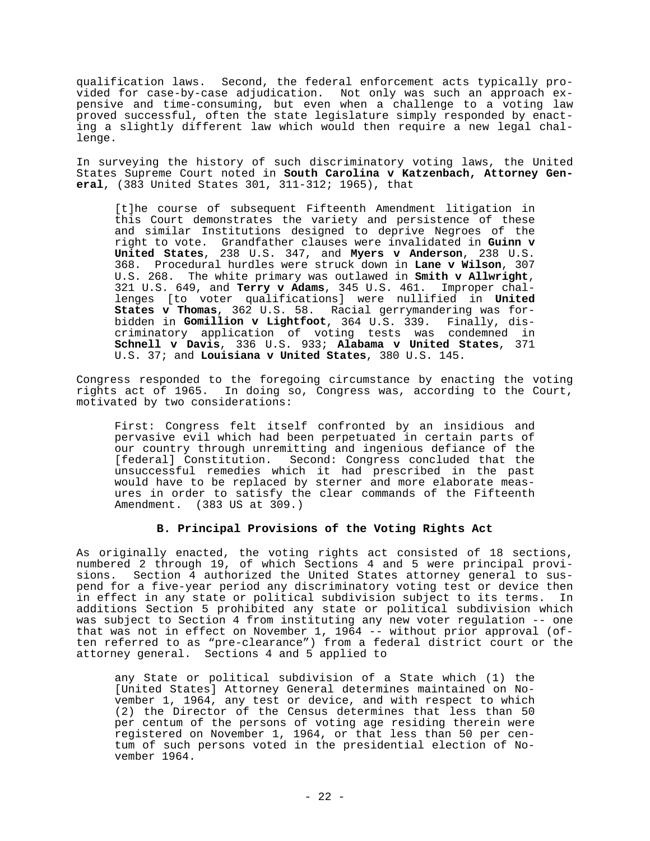qualification laws. Second, the federal enforcement acts typically provided for case-by-case adjudication. Not only was such an approach expensive and time-consuming, but even when a challenge to a voting law proved successful, often the state legislature simply responded by enacting a slightly different law which would then require a new legal challenge.

In surveying the history of such discriminatory voting laws, the United States Supreme Court noted in **South Carolina v Katzenbach, Attorney General**, (383 United States 301, 311-312; 1965), that

[t]he course of subsequent Fifteenth Amendment litigation in this Court demonstrates the variety and persistence of these and similar Institutions designed to deprive Negroes of the right to vote. Grandfather clauses were invalidated in **Guinn v United States**, 238 U.S. 347, and **Myers v Anderson**, 238 U.S. 368. Procedural hurdles were struck down in **Lane v Wilson**, 307 U.S. 268. The white primary was outlawed in **Smith v Allwright**, 321 U.S. 649, and **Terry v Adams**, 345 U.S. 461. Improper challenges [to voter qualifications] were nullified in **United States v Thomas**, 362 U.S. 58. Racial gerrymandering was forbidden in **Gomillion v Lightfoot**, 364 U.S. 339. Finally, discriminatory application of voting tests was condemned in **Schnell v Davis**, 336 U.S. 933; **Alabama v United States**, 371 U.S. 37; and **Louisiana v United States**, 380 U.S. 145.

Congress responded to the foregoing circumstance by enacting the voting rights act of 1965. In doing so, Congress was, according to the Court, motivated by two considerations:

First: Congress felt itself confronted by an insidious and pervasive evil which had been perpetuated in certain parts of our country through unremitting and ingenious defiance of the [federal] Constitution. Second: Congress concluded that the unsuccessful remedies which it had prescribed in the past would have to be replaced by sterner and more elaborate measures in order to satisfy the clear commands of the Fifteenth Amendment. (383 US at 309.)

## **B. Principal Provisions of the Voting Rights Act**

As originally enacted, the voting rights act consisted of 18 sections, numbered 2 through 19, of which Sections 4 and 5 were principal provisions. Section 4 authorized the United States attorney general to suspend for a five-year period any discriminatory voting test or device then in effect in any state or political subdivision subject to its terms. In additions Section 5 prohibited any state or political subdivision which was subject to Section 4 from instituting any new voter regulation -- one that was not in effect on November 1, 1964 -- without prior approval (often referred to as "pre-clearance") from a federal district court or the attorney general. Sections 4 and 5 applied to

any State or political subdivision of a State which (1) the [United States] Attorney General determines maintained on November 1, 1964, any test or device, and with respect to which (2) the Director of the Census determines that less than 50 per centum of the persons of voting age residing therein were registered on November 1, 1964, or that less than 50 per centum of such persons voted in the presidential election of November 1964.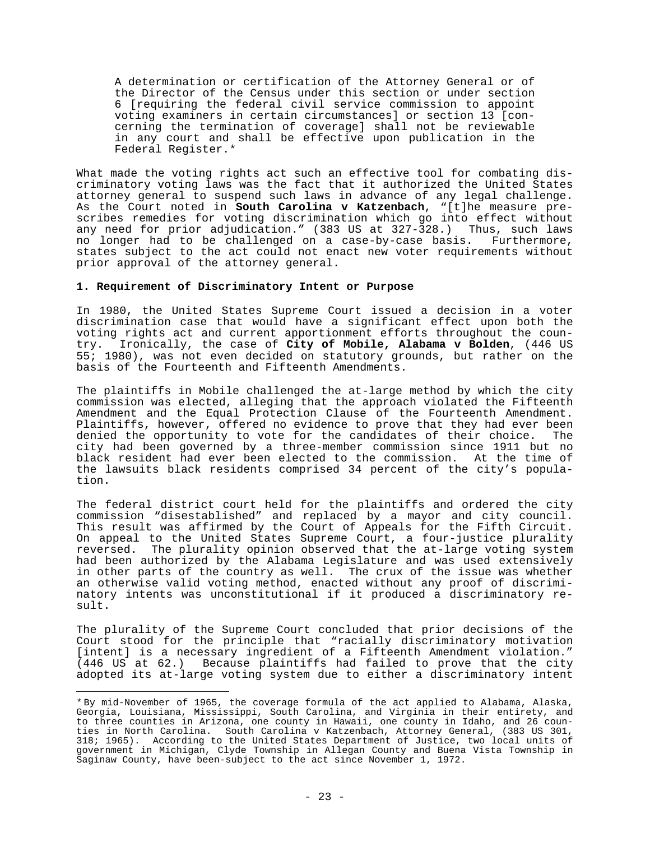A determination or certification of the Attorney General or of the Director of the Census under this section or under section 6 [requiring the federal civil service commission to appoint voting examiners in certain circumstances] or section 13 [concerning the termination of coverage] shall not be reviewable in any court and shall be effective upon publication in the Federal Register.\*

What made the voting rights act such an effective tool for combating discriminatory voting laws was the fact that it authorized the United States attorney general to suspend such laws in advance of any legal challenge. As the Court noted in **South Carolina v Katzenbach**, "[t]he measure prescribes remedies for voting discrimination which go into effect without any need for prior adjudication." (383 US at 327-328.) Thus, such laws no longer had to be challenged on a case-by-case basis. Furthermore, states subject to the act could not enact new voter requirements without prior approval of the attorney general.

## **1. Requirement of Discriminatory Intent or Purpose**

In 1980, the United States Supreme Court issued a decision in a voter discrimination case that would have a significant effect upon both the voting rights act and current apportionment efforts throughout the country. Ironically, the case of **City of Mobile, Alabama v Bolden**, (446 US 55; 1980), was not even decided on statutory grounds, but rather on the basis of the Fourteenth and Fifteenth Amendments.

The plaintiffs in Mobile challenged the at-large method by which the city commission was elected, alleging that the approach violated the Fifteenth Amendment and the Equal Protection Clause of the Fourteenth Amendment. Plaintiffs, however, offered no evidence to prove that they had ever been denied the opportunity to vote for the candidates of their choice. The city had been governed by a three-member commission since 1911 but no black resident had ever been elected to the commission. At the time of the lawsuits black residents comprised 34 percent of the city's population.

The federal district court held for the plaintiffs and ordered the city commission "disestablished" and replaced by a mayor and city council. This result was affirmed by the Court of Appeals for the Fifth Circuit. On appeal to the United States Supreme Court, a four-justice plurality reversed. The plurality opinion observed that the at-large voting system had been authorized by the Alabama Legislature and was used extensively in other parts of the country as well. The crux of the issue was whether an otherwise valid voting method, enacted without any proof of discriminatory intents was unconstitutional if it produced a discriminatory result.

The plurality of the Supreme Court concluded that prior decisions of the Court stood for the principle that "racially discriminatory motivation [intent] is a necessary ingredient of a Fifteenth Amendment violation." (446 US at 62.) Because plaintiffs had failed to prove that the city adopted its at-large voting system due to either a discriminatory intent

<sup>\*</sup> By mid-November of 1965, the coverage formula of the act applied to Alabama, Alaska, Georgia, Louisiana, Mississippi, South Carolina, and Virginia in their entirety, and to three counties in Arizona, one county in Hawaii, one county in Idaho, and 26 counties in North Carolina. South Carolina v Katzenbach, Attorney General, (383 US 301, 318; 1965). According to the United States Department of Justice, two local units of government in Michigan, Clyde Township in Allegan County and Buena Vista Township in Saginaw County, have been-subject to the act since November 1, 1972.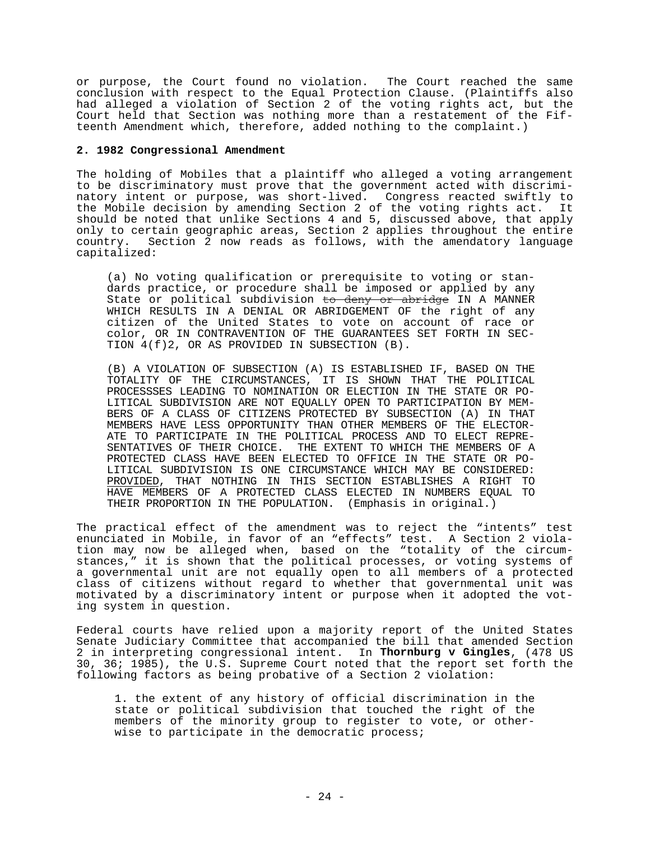or purpose, the Court found no violation. The Court reached the same conclusion with respect to the Equal Protection Clause. (Plaintiffs also had alleged a violation of Section 2 of the voting rights act, but the Court held that Section was nothing more than a restatement of the Fifteenth Amendment which, therefore, added nothing to the complaint.)

#### **2. 1982 Congressional Amendment**

The holding of Mobiles that a plaintiff who alleged a voting arrangement to be discriminatory must prove that the government acted with discriminatory intent or purpose, was short-lived. Congress reacted swiftly to the Mobile decision by amending Section 2 of the voting rights act. It should be noted that unlike Sections 4 and 5, discussed above, that apply only to certain geographic areas, Section 2 applies throughout the entire country. Section 2 now reads as follows, with the amendatory language Section 2 now reads as follows, with the amendatory language capitalized:

(a) No voting qualification or prerequisite to voting or standards practice, or procedure shall be imposed or applied by any State or political subdivision to deny or abridge IN A MANNER WHICH RESULTS IN A DENIAL OR ABRIDGEMENT OF the right of any citizen of the United States to vote on account of race or color, OR IN CONTRAVENTION OF THE GUARANTEES SET FORTH IN SEC-TION 4(f)2, OR AS PROVIDED IN SUBSECTION (B).

(B) A VIOLATION OF SUBSECTION (A) IS ESTABLISHED IF, BASED ON THE TOTALITY OF THE CIRCUMSTANCES, IT IS SHOWN THAT THE POLITICAL PROCESSSES LEADING TO NOMINATION OR ELECTION IN THE STATE OR PO-LITICAL SUBDIVISION ARE NOT EQUALLY OPEN TO PARTICIPATION BY MEM-BERS OF A CLASS OF CITIZENS PROTECTED BY SUBSECTION (A) IN THAT MEMBERS HAVE LESS OPPORTUNITY THAN OTHER MEMBERS OF THE ELECTOR-ATE TO PARTICIPATE IN THE POLITICAL PROCESS AND TO ELECT REPRE-SENTATIVES OF THEIR CHOICE. THE EXTENT TO WHICH THE MEMBERS OF A PROTECTED CLASS HAVE BEEN ELECTED TO OFFICE IN THE STATE OR PO-LITICAL SUBDIVISION IS ONE CIRCUMSTANCE WHICH MAY BE CONSIDERED: PROVIDED, THAT NOTHING IN THIS SECTION ESTABLISHES A RIGHT TO HAVE MEMBERS OF A PROTECTED CLASS ELECTED IN NUMBERS EQUAL TO THEIR PROPORTION IN THE POPULATION. (Emphasis in original.)

The practical effect of the amendment was to reject the "intents" test enunciated in Mobile, in favor of an "effects" test. A Section 2 violation may now be alleged when, based on the "totality of the circumstances," it is shown that the political processes, or voting systems of a governmental unit are not equally open to all members of a protected class of citizens without regard to whether that governmental unit was motivated by a discriminatory intent or purpose when it adopted the voting system in question.

Federal courts have relied upon a majority report of the United States Senate Judiciary Committee that accompanied the bill that amended Section 2 in interpreting congressional intent. In **Thornburg v Gingles**, (478 US 30, 36; 1985), the U.S. Supreme Court noted that the report set forth the following factors as being probative of a Section 2 violation:

1. the extent of any history of official discrimination in the state or political subdivision that touched the right of the members of the minority group to register to vote, or otherwise to participate in the democratic process;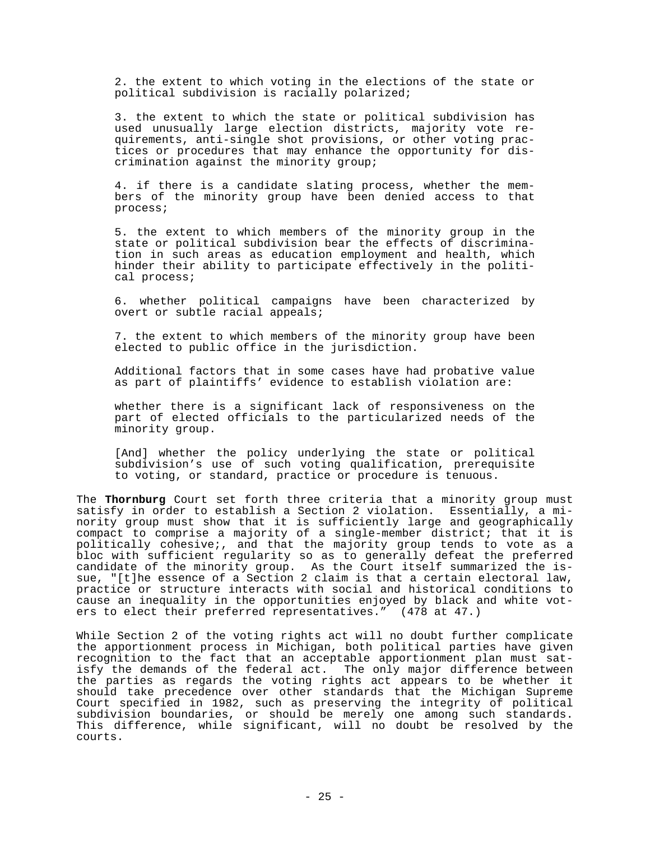2. the extent to which voting in the elections of the state or political subdivision is racially polarized;

3. the extent to which the state or political subdivision has used unusually large election districts, majority vote requirements, anti-single shot provisions, or other voting practices or procedures that may enhance the opportunity for discrimination against the minority group;

4. if there is a candidate slating process, whether the members of the minority group have been denied access to that process;

5. the extent to which members of the minority group in the state or political subdivision bear the effects of discrimination in such areas as education employment and health, which hinder their ability to participate effectively in the political process;

6. whether political campaigns have been characterized by overt or subtle racial appeals;

7. the extent to which members of the minority group have been elected to public office in the jurisdiction.

Additional factors that in some cases have had probative value as part of plaintiffs' evidence to establish violation are:

whether there is a significant lack of responsiveness on the part of elected officials to the particularized needs of the minority group.

[And] whether the policy underlying the state or political subdivision's use of such voting qualification, prerequisite to voting, or standard, practice or procedure is tenuous.

The **Thornburg** Court set forth three criteria that a minority group must satisfy in order to establish a Section 2 violation. Essentially, a minority group must show that it is sufficiently large and geographically compact to comprise a majority of a single-member district; that it is politically cohesive;, and that the majority group tends to vote as a bloc with sufficient regularity so as to generally defeat the preferred candidate of the minority group. As the Court itself summarized the issue, "[t]he essence of a Section 2 claim is that a certain electoral law, practice or structure interacts with social and historical conditions to cause an inequality in the opportunities enjoyed by black and white voters to elect their preferred representatives." (478 at 47.)

While Section 2 of the voting rights act will no doubt further complicate the apportionment process in Michigan, both political parties have given recognition to the fact that an acceptable apportionment plan must satisfy the demands of the federal act. The only major difference between the parties as regards the voting rights act appears to be whether it should take precedence over other standards that the Michigan Supreme Court specified in 1982, such as preserving the integrity of political subdivision boundaries, or should be merely one among such standards. This difference, while significant, will no doubt be resolved by the courts.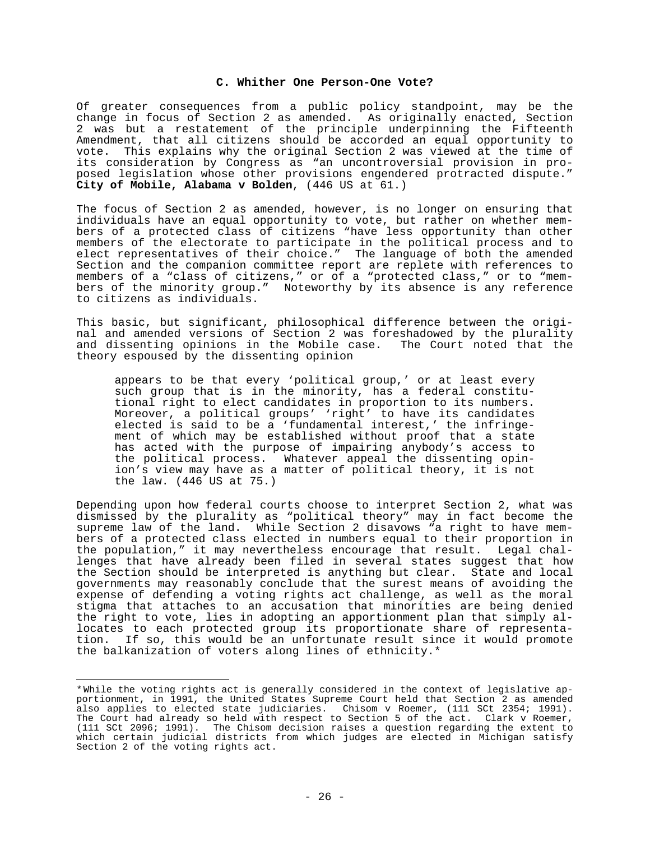### **C. Whither One Person-One Vote?**

Of greater consequences from a public policy standpoint, may be the change in focus of Section 2 as amended. As originally enacted, Section 2 was but a restatement of the principle underpinning the Fifteenth Amendment, that all citizens should be accorded an equal opportunity to vote. This explains why the original Section 2 was viewed at the time of its consideration by Congress as "an uncontroversial provision in proposed legislation whose other provisions engendered protracted dispute." **City of Mobile, Alabama v Bolden**, (446 US at 61.)

The focus of Section 2 as amended, however, is no longer on ensuring that individuals have an equal opportunity to vote, but rather on whether members of a protected class of citizens "have less opportunity than other members of the electorate to participate in the political process and to elect representatives of their choice." The language of both the amended Section and the companion committee report are replete with references to members of a "class of citizens," or of a "protected class," or to "members of the minority group." Noteworthy by its absence is any reference to citizens as individuals.

This basic, but significant, philosophical difference between the original and amended versions of Section 2 was foreshadowed by the plurality and dissenting opinions in the Mobile case. The Court noted that the theory espoused by the dissenting opinion

appears to be that every 'political group,' or at least every such group that is in the minority, has a federal constitutional right to elect candidates in proportion to its numbers. Moreover, a political groups' 'right' to have its candidates elected is said to be a 'fundamental interest,' the infringement of which may be established without proof that a state has acted with the purpose of impairing anybody's access to the political process. Whatever appeal the dissenting opinion's view may have as a matter of political theory, it is not the law. (446 US at 75.)

Depending upon how federal courts choose to interpret Section 2, what was dismissed by the plurality as "political theory" may in fact become the supreme law of the land. While Section 2 disavows "a right to have members of a protected class elected in numbers equal to their proportion in the population," it may nevertheless encourage that result. Legal challenges that have already been filed in several states suggest that how the Section should be interpreted is anything but clear. State and local governments may reasonably conclude that the surest means of avoiding the expense of defending a voting rights act challenge, as well as the moral stigma that attaches to an accusation that minorities are being denied the right to vote, lies in adopting an apportionment plan that simply allocates to each protected group its proportionate share of representation. If so, this would be an unfortunate result since it would promote the balkanization of voters along lines of ethnicity.\*

<sup>\*</sup>While the voting rights act is generally considered in the context of legislative apportionment, in 1991, the United States Supreme Court held that Section 2 as amended also applies to elected state judiciaries. Chisom v Roemer, (111 SCt 2354; 1991). The Court had already so held with respect to Section 5 of the act. Clark v Roemer, (111 SCt 2096; 1991). The Chisom decision raises a question regarding the extent to which certain judicial districts from which judges are elected in Michigan satisfy Section 2 of the voting rights act.